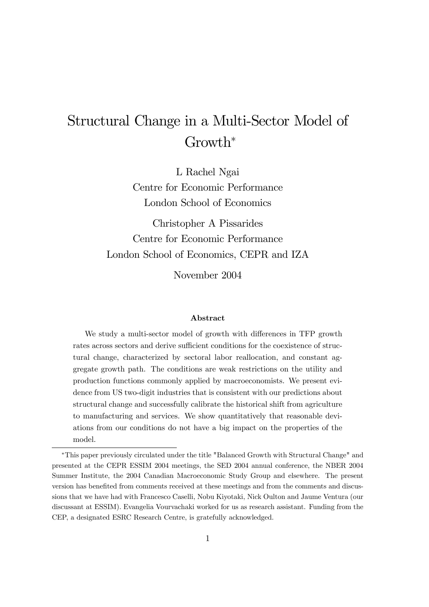# Structural Change in a Multi-Sector Model of Growth<sup>∗</sup>

L Rachel Ngai Centre for Economic Performance London School of Economics

Christopher A Pissarides Centre for Economic Performance London School of Economics, CEPR and IZA

November 2004

#### Abstract

We study a multi-sector model of growth with differences in TFP growth rates across sectors and derive sufficient conditions for the coexistence of structural change, characterized by sectoral labor reallocation, and constant aggregate growth path. The conditions are weak restrictions on the utility and production functions commonly applied by macroeconomists. We present evidence from US two-digit industries that is consistent with our predictions about structural change and successfully calibrate the historical shift from agriculture to manufacturing and services. We show quantitatively that reasonable deviations from our conditions do not have a big impact on the properties of the model.

<sup>∗</sup>This paper previously circulated under the title "Balanced Growth with Structural Change" and presented at the CEPR ESSIM 2004 meetings, the SED 2004 annual conference, the NBER 2004 Summer Institute, the 2004 Canadian Macroeconomic Study Group and elsewhere. The present version has benefited from comments received at these meetings and from the comments and discussions that we have had with Francesco Caselli, Nobu Kiyotaki, Nick Oulton and Jaume Ventura (our discussant at ESSIM). Evangelia Vourvachaki worked for us as research assistant. Funding from the CEP, a designated ESRC Research Centre, is gratefully acknowledged.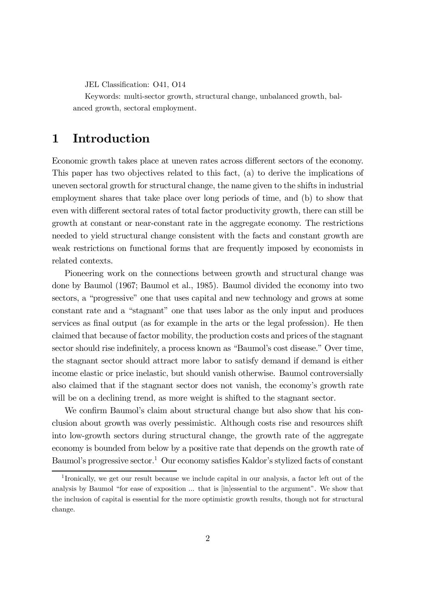JEL Classification: O41, O14

Keywords: multi-sector growth, structural change, unbalanced growth, balanced growth, sectoral employment.

## 1 Introduction

Economic growth takes place at uneven rates across different sectors of the economy. This paper has two objectives related to this fact, (a) to derive the implications of uneven sectoral growth for structural change, the name given to the shifts in industrial employment shares that take place over long periods of time, and (b) to show that even with different sectoral rates of total factor productivity growth, there can still be growth at constant or near-constant rate in the aggregate economy. The restrictions needed to yield structural change consistent with the facts and constant growth are weak restrictions on functional forms that are frequently imposed by economists in related contexts.

Pioneering work on the connections between growth and structural change was done by Baumol (1967; Baumol et al., 1985). Baumol divided the economy into two sectors, a "progressive" one that uses capital and new technology and grows at some constant rate and a "stagnant" one that uses labor as the only input and produces services as final output (as for example in the arts or the legal profession). He then claimed that because of factor mobility, the production costs and prices of the stagnant sector should rise indefinitely, a process known as "Baumol's cost disease." Over time, the stagnant sector should attract more labor to satisfy demand if demand is either income elastic or price inelastic, but should vanish otherwise. Baumol controversially also claimed that if the stagnant sector does not vanish, the economy's growth rate will be on a declining trend, as more weight is shifted to the stagnant sector.

We confirm Baumol's claim about structural change but also show that his conclusion about growth was overly pessimistic. Although costs rise and resources shift into low-growth sectors during structural change, the growth rate of the aggregate economy is bounded from below by a positive rate that depends on the growth rate of Baumol's progressive sector.<sup>1</sup> Our economy satisfies Kaldor's stylized facts of constant

<sup>1</sup> Ironically, we get our result because we include capital in our analysis, a factor left out of the analysis by Baumol "for ease of exposition ... that is [in]essential to the argument". We show that the inclusion of capital is essential for the more optimistic growth results, though not for structural change.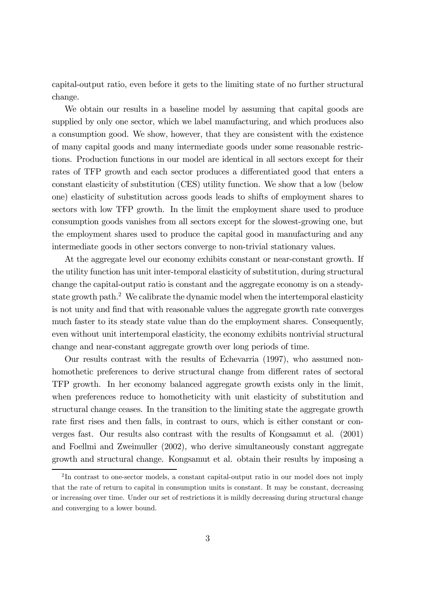capital-output ratio, even before it gets to the limiting state of no further structural change.

We obtain our results in a baseline model by assuming that capital goods are supplied by only one sector, which we label manufacturing, and which produces also a consumption good. We show, however, that they are consistent with the existence of many capital goods and many intermediate goods under some reasonable restrictions. Production functions in our model are identical in all sectors except for their rates of TFP growth and each sector produces a differentiated good that enters a constant elasticity of substitution (CES) utility function. We show that a low (below one) elasticity of substitution across goods leads to shifts of employment shares to sectors with low TFP growth. In the limit the employment share used to produce consumption goods vanishes from all sectors except for the slowest-growing one, but the employment shares used to produce the capital good in manufacturing and any intermediate goods in other sectors converge to non-trivial stationary values.

At the aggregate level our economy exhibits constant or near-constant growth. If the utility function has unit inter-temporal elasticity of substitution, during structural change the capital-output ratio is constant and the aggregate economy is on a steadystate growth path.2 We calibrate the dynamic model when the intertemporal elasticity is not unity and find that with reasonable values the aggregate growth rate converges much faster to its steady state value than do the employment shares. Consequently, even without unit intertemporal elasticity, the economy exhibits nontrivial structural change and near-constant aggregate growth over long periods of time.

Our results contrast with the results of Echevarria (1997), who assumed nonhomothetic preferences to derive structural change from different rates of sectoral TFP growth. In her economy balanced aggregate growth exists only in the limit, when preferences reduce to homotheticity with unit elasticity of substitution and structural change ceases. In the transition to the limiting state the aggregate growth rate first rises and then falls, in contrast to ours, which is either constant or converges fast. Our results also contrast with the results of Kongsamut et al. (2001) and Foellmi and Zweimuller (2002), who derive simultaneously constant aggregate growth and structural change. Kongsamut et al. obtain their results by imposing a

<sup>&</sup>lt;sup>2</sup>In contrast to one-sector models, a constant capital-output ratio in our model does not imply that the rate of return to capital in consumption units is constant. It may be constant, decreasing or increasing over time. Under our set of restrictions it is mildly decreasing during structural change and converging to a lower bound.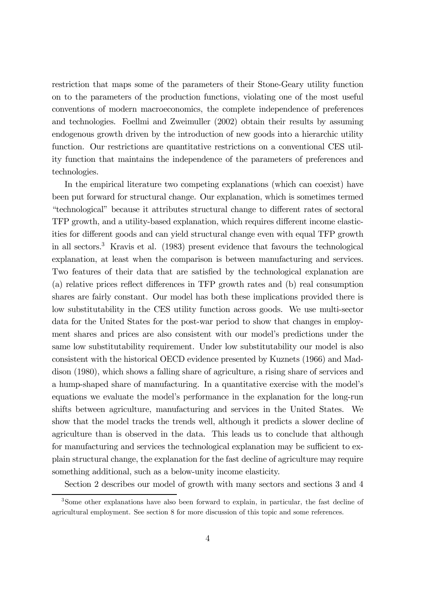restriction that maps some of the parameters of their Stone-Geary utility function on to the parameters of the production functions, violating one of the most useful conventions of modern macroeconomics, the complete independence of preferences and technologies. Foellmi and Zweimuller (2002) obtain their results by assuming endogenous growth driven by the introduction of new goods into a hierarchic utility function. Our restrictions are quantitative restrictions on a conventional CES utility function that maintains the independence of the parameters of preferences and technologies.

In the empirical literature two competing explanations (which can coexist) have been put forward for structural change. Our explanation, which is sometimes termed "technological" because it attributes structural change to different rates of sectoral TFP growth, and a utility-based explanation, which requires different income elasticities for different goods and can yield structural change even with equal TFP growth in all sectors.3 Kravis et al. (1983) present evidence that favours the technological explanation, at least when the comparison is between manufacturing and services. Two features of their data that are satisfied by the technological explanation are (a) relative prices reflect differences in TFP growth rates and (b) real consumption shares are fairly constant. Our model has both these implications provided there is low substitutability in the CES utility function across goods. We use multi-sector data for the United States for the post-war period to show that changes in employment shares and prices are also consistent with our model's predictions under the same low substitutability requirement. Under low substitutability our model is also consistent with the historical OECD evidence presented by Kuznets (1966) and Maddison (1980), which shows a falling share of agriculture, a rising share of services and a hump-shaped share of manufacturing. In a quantitative exercise with the model's equations we evaluate the model's performance in the explanation for the long-run shifts between agriculture, manufacturing and services in the United States. We show that the model tracks the trends well, although it predicts a slower decline of agriculture than is observed in the data. This leads us to conclude that although for manufacturing and services the technological explanation may be sufficient to explain structural change, the explanation for the fast decline of agriculture may require something additional, such as a below-unity income elasticity.

Section 2 describes our model of growth with many sectors and sections 3 and 4

<sup>3</sup>Some other explanations have also been forward to explain, in particular, the fast decline of agricultural employment. See section 8 for more discussion of this topic and some references.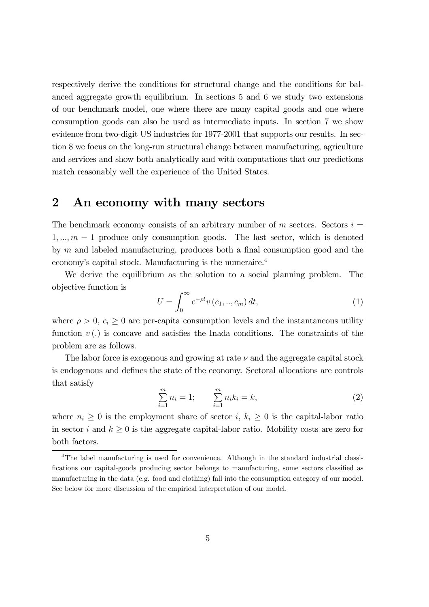respectively derive the conditions for structural change and the conditions for balanced aggregate growth equilibrium. In sections 5 and 6 we study two extensions of our benchmark model, one where there are many capital goods and one where consumption goods can also be used as intermediate inputs. In section 7 we show evidence from two-digit US industries for 1977-2001 that supports our results. In section 8 we focus on the long-run structural change between manufacturing, agriculture and services and show both analytically and with computations that our predictions match reasonably well the experience of the United States.

# 2 An economy with many sectors

The benchmark economy consists of an arbitrary number of m sectors. Sectors  $i =$  $1, \ldots, m-1$  produce only consumption goods. The last sector, which is denoted by  $m$  and labeled manufacturing, produces both a final consumption good and the economy's capital stock. Manufacturing is the numeraire.4

We derive the equilibrium as the solution to a social planning problem. The objective function is

$$
U = \int_0^\infty e^{-\rho t} v(c_1, ..., c_m) dt,
$$
 (1)

where  $\rho > 0$ ,  $c_i \geq 0$  are per-capita consumption levels and the instantaneous utility function  $v(.)$  is concave and satisfies the Inada conditions. The constraints of the problem are as follows.

The labor force is exogenous and growing at rate  $\nu$  and the aggregate capital stock is endogenous and defines the state of the economy. Sectoral allocations are controls that satisfy

$$
\sum_{i=1}^{m} n_i = 1; \qquad \sum_{i=1}^{m} n_i k_i = k,\tag{2}
$$

where  $n_i \geq 0$  is the employment share of sector i,  $k_i \geq 0$  is the capital-labor ratio in sector i and  $k \geq 0$  is the aggregate capital-labor ratio. Mobility costs are zero for both factors.

<sup>&</sup>lt;sup>4</sup>The label manufacturing is used for convenience. Although in the standard industrial classifications our capital-goods producing sector belongs to manufacturing, some sectors classified as manufacturing in the data (e.g. food and clothing) fall into the consumption category of our model. See below for more discussion of the empirical interpretation of our model.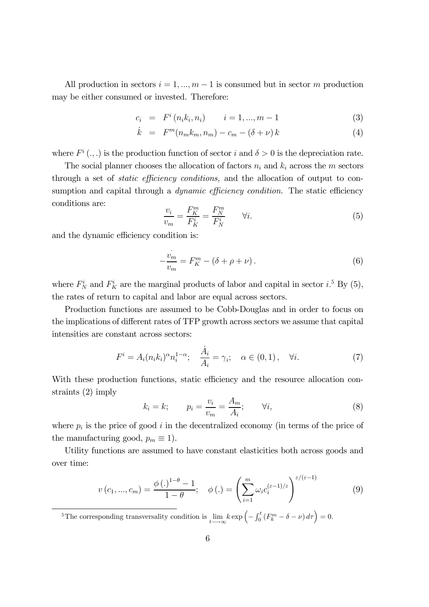All production in sectors  $i = 1, ..., m - 1$  is consumed but in sector m production may be either consumed or invested. Therefore:

$$
c_i = F^i(n_i k_i, n_i) \qquad i = 1, ..., m - 1 \tag{3}
$$

$$
\dot{k} = F^m(n_m k_m, n_m) - c_m - (\delta + \nu) k \tag{4}
$$

where  $F^i$  (...) is the production function of sector i and  $\delta > 0$  is the depreciation rate.

The social planner chooses the allocation of factors  $n_i$  and  $k_i$  across the m sectors through a set of static efficiency conditions, and the allocation of output to consumption and capital through a *dynamic efficiency condition*. The static efficiency conditions are:

$$
\frac{v_i}{v_m} = \frac{F_K^m}{F_K^i} = \frac{F_N^m}{F_N^i} \qquad \forall i.
$$
\n
$$
(5)
$$

and the dynamic efficiency condition is:

$$
-\frac{\dot{v}_m}{v_m} = F_K^m - (\delta + \rho + \nu).
$$
 (6)

where  $F_N^i$  and  $F_K^i$  are the marginal products of labor and capital in sector i.<sup>5</sup> By (5), the rates of return to capital and labor are equal across sectors.

Production functions are assumed to be Cobb-Douglas and in order to focus on the implications of different rates of TFP growth across sectors we assume that capital intensities are constant across sectors:

$$
F^{i} = A_{i}(n_{i}k_{i})^{\alpha}n_{i}^{1-\alpha}; \quad \frac{\dot{A}_{i}}{A_{i}} = \gamma_{i}; \quad \alpha \in (0,1), \quad \forall i.
$$
 (7)

With these production functions, static efficiency and the resource allocation constraints (2) imply

$$
k_i = k; \qquad p_i = \frac{v_i}{v_m} = \frac{A_m}{A_i}; \qquad \forall i,
$$
\n
$$
(8)
$$

where  $p_i$  is the price of good i in the decentralized economy (in terms of the price of the manufacturing good,  $p_m \equiv 1$ ).

Utility functions are assumed to have constant elasticities both across goods and over time:

$$
v(c_1, ..., c_m) = \frac{\phi(.)^{1-\theta} - 1}{1-\theta}; \quad \phi(.) = \left(\sum_{i=1}^m \omega_i c_i^{(\varepsilon-1)/\varepsilon}\right)^{\varepsilon/(\varepsilon-1)}
$$
(9)

<sup>5</sup>The corresponding transversality condition is  $\lim_{t \to \infty} k \exp \left(-\int_0^t (F_k^m - \delta - \nu) d\tau \right) = 0.$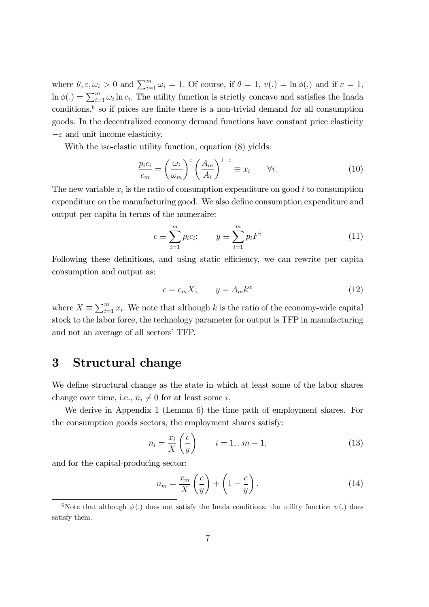where  $\theta, \varepsilon, \omega_i > 0$  and  $\sum_{i=1}^m \omega_i = 1$ . Of course, if  $\theta = 1, v(.) = \ln \phi(.)$  and if  $\varepsilon = 1$ ,  $\ln \phi(.) = \sum_{i=1}^{m} \omega_i \ln c_i$ . The utility function is strictly concave and satisfies the Inada conditions, $6$  so if prices are finite there is a non-trivial demand for all consumption goods. In the decentralized economy demand functions have constant price elasticity  $-\varepsilon$  and unit income elasticity.

With the iso-elastic utility function, equation (8) yields:

$$
\frac{p_i c_i}{c_m} = \left(\frac{\omega_i}{\omega_m}\right)^{\varepsilon} \left(\frac{A_m}{A_i}\right)^{1-\varepsilon} \equiv x_i \qquad \forall i. \tag{10}
$$

The new variable  $x_i$  is the ratio of consumption expenditure on good i to consumption expenditure on the manufacturing good. We also define consumption expenditure and output per capita in terms of the numeraire:

$$
c \equiv \sum_{i=1}^{m} p_i c_i; \qquad y \equiv \sum_{i=1}^{m} p_i F^i \tag{11}
$$

Following these definitions, and using static efficiency, we can rewrite per capita consumption and output as:

$$
c = c_m X; \qquad y = A_m k^{\alpha} \tag{12}
$$

where  $X \equiv \sum_{i=1}^{m} x_i$ . We note that although k is the ratio of the economy-wide capital stock to the labor force, the technology parameter for output is TFP in manufacturing and not an average of all sectors' TFP.

### 3 Structural change

We define structural change as the state in which at least some of the labor shares change over time, i.e.,  $\dot{n}_i \neq 0$  for at least some *i*.

We derive in Appendix 1 (Lemma 6) the time path of employment shares. For the consumption goods sectors, the employment shares satisfy:

$$
n_i = \frac{x_i}{X} \left( \frac{c}{y} \right) \qquad i = 1, \dots m - 1,\tag{13}
$$

and for the capital-producing sector:

$$
n_m = \frac{x_m}{X} \left(\frac{c}{y}\right) + \left(1 - \frac{c}{y}\right). \tag{14}
$$

<sup>&</sup>lt;sup>6</sup>Note that although  $\phi$  (.) does not satisfy the Inada conditions, the utility function v (.) does satisfy them.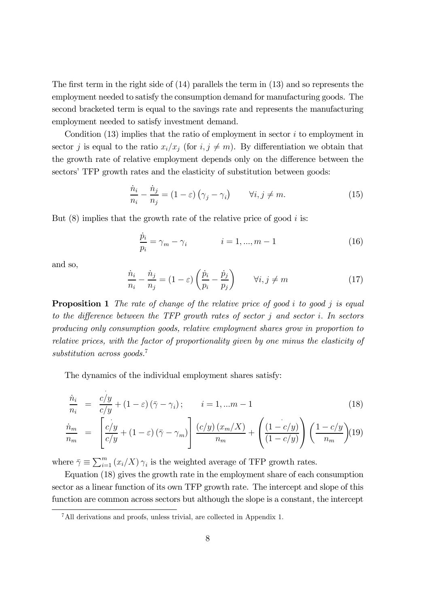The first term in the right side of (14) parallels the term in (13) and so represents the employment needed to satisfy the consumption demand for manufacturing goods. The second bracketed term is equal to the savings rate and represents the manufacturing employment needed to satisfy investment demand.

Condition  $(13)$  implies that the ratio of employment in sector i to employment in sector j is equal to the ratio  $x_i/x_j$  (for  $i, j \neq m$ ). By differentiation we obtain that the growth rate of relative employment depends only on the difference between the sectors' TFP growth rates and the elasticity of substitution between goods:

$$
\frac{\dot{n}_i}{n_i} - \frac{\dot{n}_j}{n_j} = (1 - \varepsilon) \left( \gamma_j - \gamma_i \right) \qquad \forall i, j \neq m. \tag{15}
$$

But  $(8)$  implies that the growth rate of the relative price of good i is:

$$
\frac{\dot{p}_i}{p_i} = \gamma_m - \gamma_i \qquad i = 1, ..., m - 1 \qquad (16)
$$

and so,

$$
\frac{\dot{n}_i}{n_i} - \frac{\dot{n}_j}{n_j} = (1 - \varepsilon) \left( \frac{\dot{p}_i}{p_i} - \frac{\dot{p}_j}{p_j} \right) \qquad \forall i, j \neq m \tag{17}
$$

**Proposition 1** The rate of change of the relative price of good  $i$  to good  $j$  is equal to the difference between the TFP growth rates of sector  $j$  and sector  $i$ . In sectors producing only consumption goods, relative employment shares grow in proportion to relative prices, with the factor of proportionality given by one minus the elasticity of substitution across goods.<sup>7</sup>

The dynamics of the individual employment shares satisfy:

$$
\frac{\dot{n}_i}{n_i} = \frac{c/y}{c/y} + (1 - \varepsilon)(\bar{\gamma} - \gamma_i); \qquad i = 1, \dots m - 1
$$
\n(18)

$$
\frac{\dot{n}_m}{n_m} = \left[ \frac{c/y}{c/y} + (1 - \varepsilon) (\bar{\gamma} - \gamma_m) \right] \frac{(c/y)(x_m/X)}{n_m} + \left( \frac{(1 - c/y)}{(1 - c/y)} \right) \left( \frac{1 - c/y}{n_m} \right) (19)
$$

where  $\bar{\gamma} \equiv \sum_{i=1}^{m} (x_i/X) \gamma_i$  is the weighted average of TFP growth rates.

Equation (18) gives the growth rate in the employment share of each consumption sector as a linear function of its own TFP growth rate. The intercept and slope of this function are common across sectors but although the slope is a constant, the intercept

<sup>7</sup>All derivations and proofs, unless trivial, are collected in Appendix 1.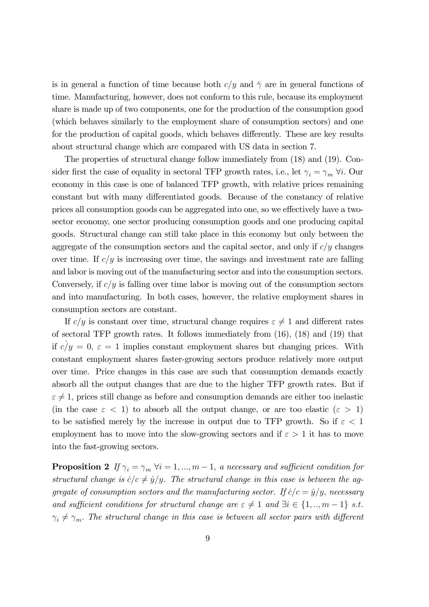is in general a function of time because both  $c/y$  and  $\bar{\gamma}$  are in general functions of time. Manufacturing, however, does not conform to this rule, because its employment share is made up of two components, one for the production of the consumption good (which behaves similarly to the employment share of consumption sectors) and one for the production of capital goods, which behaves differently. These are key results about structural change which are compared with US data in section 7.

The properties of structural change follow immediately from (18) and (19). Consider first the case of equality in sectoral TFP growth rates, i.e., let  $\gamma_i = \gamma_m \forall i$ . Our economy in this case is one of balanced TFP growth, with relative prices remaining constant but with many differentiated goods. Because of the constancy of relative prices all consumption goods can be aggregated into one, so we effectively have a twosector economy, one sector producing consumption goods and one producing capital goods. Structural change can still take place in this economy but only between the aggregate of the consumption sectors and the capital sector, and only if  $c/y$  changes over time. If  $c/y$  is increasing over time, the savings and investment rate are falling and labor is moving out of the manufacturing sector and into the consumption sectors. Conversely, if  $c/y$  is falling over time labor is moving out of the consumption sectors and into manufacturing. In both cases, however, the relative employment shares in consumption sectors are constant.

If  $c/y$  is constant over time, structural change requires  $\varepsilon \neq 1$  and different rates of sectoral TFP growth rates. It follows immediately from (16), (18) and (19) that if  $c/y = 0, \, \varepsilon = 1$  implies constant employment shares but changing prices. With constant employment shares faster-growing sectors produce relatively more output over time. Price changes in this case are such that consumption demands exactly absorb all the output changes that are due to the higher TFP growth rates. But if  $\varepsilon \neq 1$ , prices still change as before and consumption demands are either too inelastic (in the case  $\varepsilon$  < 1) to absorb all the output change, or are too elastic  $(\varepsilon > 1)$ to be satisfied merely by the increase in output due to TFP growth. So if  $\varepsilon < 1$ employment has to move into the slow-growing sectors and if  $\varepsilon > 1$  it has to move into the fast-growing sectors.

**Proposition 2** If  $\gamma_i = \gamma_m \ \forall i = 1, ..., m-1$ , a necessary and sufficient condition for structural change is  $\dot{c}/c \neq \dot{y}/y$ . The structural change in this case is between the aggregate of consumption sectors and the manufacturing sector. If  $\dot{c}/c = \dot{y}/y$ , necessary and sufficient conditions for structural change are  $\varepsilon \neq 1$  and  $\exists i \in \{1,..,m-1\}$  s.t.  $\gamma_i \neq \gamma_m$ . The structural change in this case is between all sector pairs with different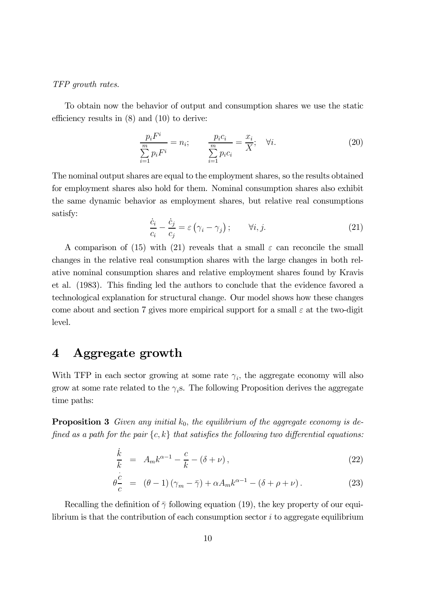#### TFP growth rates.

To obtain now the behavior of output and consumption shares we use the static efficiency results in (8) and (10) to derive:

$$
\frac{p_i F^i}{\sum_{i=1}^m p_i F^i} = n_i; \qquad \frac{p_i c_i}{\sum_{i=1}^m p_i c_i} = \frac{x_i}{X}; \quad \forall i.
$$
 (20)

The nominal output shares are equal to the employment shares, so the results obtained for employment shares also hold for them. Nominal consumption shares also exhibit the same dynamic behavior as employment shares, but relative real consumptions satisfy:

$$
\frac{\dot{c}_i}{c_i} - \frac{\dot{c}_j}{c_j} = \varepsilon \left( \gamma_i - \gamma_j \right); \qquad \forall i, j. \tag{21}
$$

A comparison of (15) with (21) reveals that a small  $\varepsilon$  can reconcile the small changes in the relative real consumption shares with the large changes in both relative nominal consumption shares and relative employment shares found by Kravis et al. (1983). This finding led the authors to conclude that the evidence favored a technological explanation for structural change. Our model shows how these changes come about and section 7 gives more empirical support for a small  $\varepsilon$  at the two-digit level.

## 4 Aggregate growth

With TFP in each sector growing at some rate  $\gamma_i$ , the aggregate economy will also grow at some rate related to the  $\gamma_i$ s. The following Proposition derives the aggregate time paths:

**Proposition 3** Given any initial  $k_0$ , the equilibrium of the aggregate economy is defined as a path for the pair  $\{c, k\}$  that satisfies the following two differential equations:

$$
\frac{\dot{k}}{k} = A_m k^{\alpha - 1} - \frac{c}{k} - (\delta + \nu),
$$
\n(22)

$$
\dot{\theta}^{C}_{\overline{C}} = (\theta - 1)(\gamma_m - \bar{\gamma}) + \alpha A_m k^{\alpha - 1} - (\delta + \rho + \nu). \tag{23}
$$

Recalling the definition of  $\bar{\gamma}$  following equation (19), the key property of our equilibrium is that the contribution of each consumption sector  $i$  to aggregate equilibrium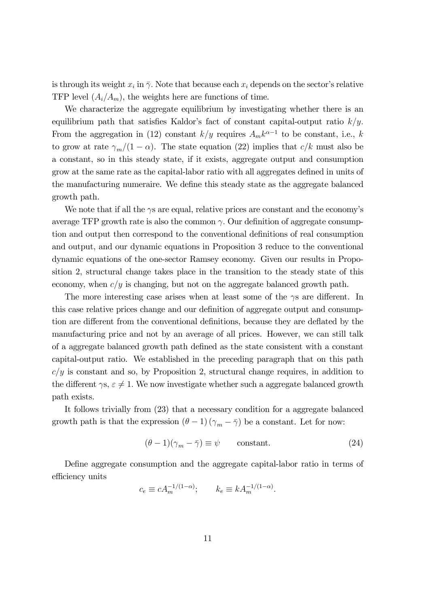is through its weight  $x_i$  in  $\bar{\gamma}$ . Note that because each  $x_i$  depends on the sector's relative TFP level  $(A_i/A_m)$ , the weights here are functions of time.

We characterize the aggregate equilibrium by investigating whether there is an equilibrium path that satisfies Kaldor's fact of constant capital-output ratio  $k/y$ . From the aggregation in (12) constant  $k/y$  requires  $A_m k^{\alpha-1}$  to be constant, i.e., k to grow at rate  $\gamma_m/(1-\alpha)$ . The state equation (22) implies that  $c/k$  must also be a constant, so in this steady state, if it exists, aggregate output and consumption grow at the same rate as the capital-labor ratio with all aggregates defined in units of the manufacturing numeraire. We define this steady state as the aggregate balanced growth path.

We note that if all the  $\gamma s$  are equal, relative prices are constant and the economy's average TFP growth rate is also the common  $\gamma$ . Our definition of aggregate consumption and output then correspond to the conventional definitions of real consumption and output, and our dynamic equations in Proposition 3 reduce to the conventional dynamic equations of the one-sector Ramsey economy. Given our results in Proposition 2, structural change takes place in the transition to the steady state of this economy, when  $c/y$  is changing, but not on the aggregate balanced growth path.

The more interesting case arises when at least some of the  $\gamma s$  are different. In this case relative prices change and our definition of aggregate output and consumption are different from the conventional definitions, because they are deflated by the manufacturing price and not by an average of all prices. However, we can still talk of a aggregate balanced growth path defined as the state consistent with a constant capital-output ratio. We established in the preceding paragraph that on this path  $c/y$  is constant and so, by Proposition 2, structural change requires, in addition to the different  $\gamma s, \varepsilon \neq 1$ . We now investigate whether such a aggregate balanced growth path exists.

It follows trivially from (23) that a necessary condition for a aggregate balanced growth path is that the expression  $(\theta - 1)(\gamma_m - \overline{\gamma})$  be a constant. Let for now:

$$
(\theta - 1)(\gamma_m - \bar{\gamma}) \equiv \psi \qquad \text{constant.} \tag{24}
$$

Define aggregate consumption and the aggregate capital-labor ratio in terms of efficiency units

$$
c_e \equiv c A_m^{-1/(1-\alpha)}; \qquad k_e \equiv k A_m^{-1/(1-\alpha)}.
$$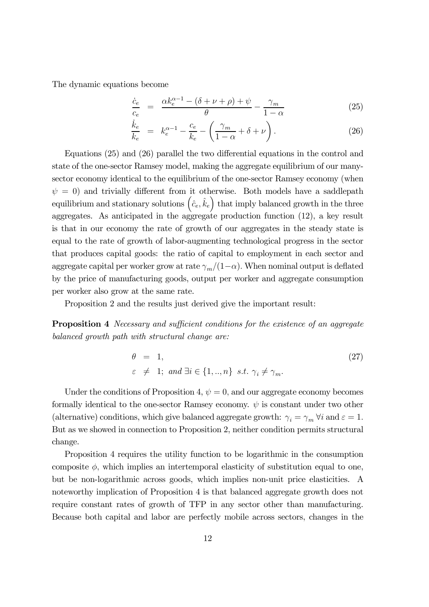The dynamic equations become

$$
\frac{\dot{c}_e}{c_e} = \frac{\alpha k_e^{\alpha - 1} - (\delta + \nu + \rho) + \psi}{\theta} - \frac{\gamma_m}{1 - \alpha} \tag{25}
$$

$$
\frac{\dot{k}_e}{k_e} = k_e^{\alpha - 1} - \frac{c_e}{k_e} - \left(\frac{\gamma_m}{1 - \alpha} + \delta + \nu\right).
$$
\n(26)

Equations (25) and (26) parallel the two differential equations in the control and state of the one-sector Ramsey model, making the aggregate equilibrium of our manysector economy identical to the equilibrium of the one-sector Ramsey economy (when  $\psi = 0$ ) and trivially different from it otherwise. Both models have a saddlepath equilibrium and stationary solutions  $(\hat{c}_e, \hat{k}_e)$  that imply balanced growth in the three aggregates. As anticipated in the aggregate production function (12), a key result is that in our economy the rate of growth of our aggregates in the steady state is equal to the rate of growth of labor-augmenting technological progress in the sector that produces capital goods: the ratio of capital to employment in each sector and aggregate capital per worker grow at rate  $\gamma_m/(1-\alpha)$ . When nominal output is deflated by the price of manufacturing goods, output per worker and aggregate consumption per worker also grow at the same rate.

Proposition 2 and the results just derived give the important result:

**Proposition 4** Necessary and sufficient conditions for the existence of an aggregate balanced growth path with structural change are:

$$
\theta = 1,
$$
  
\n $\varepsilon \neq 1; \text{ and } \exists i \in \{1, ..., n\} \text{ s.t. } \gamma_i \neq \gamma_m.$ \n
$$
(27)
$$

Under the conditions of Proposition 4,  $\psi = 0$ , and our aggregate economy becomes formally identical to the one-sector Ramsey economy.  $\psi$  is constant under two other (alternative) conditions, which give balanced aggregate growth:  $\gamma_i = \gamma_m \forall i$  and  $\varepsilon = 1$ . But as we showed in connection to Proposition 2, neither condition permits structural change.

Proposition 4 requires the utility function to be logarithmic in the consumption composite  $\phi$ , which implies an intertemporal elasticity of substitution equal to one, but be non-logarithmic across goods, which implies non-unit price elasticities. A noteworthy implication of Proposition 4 is that balanced aggregate growth does not require constant rates of growth of TFP in any sector other than manufacturing. Because both capital and labor are perfectly mobile across sectors, changes in the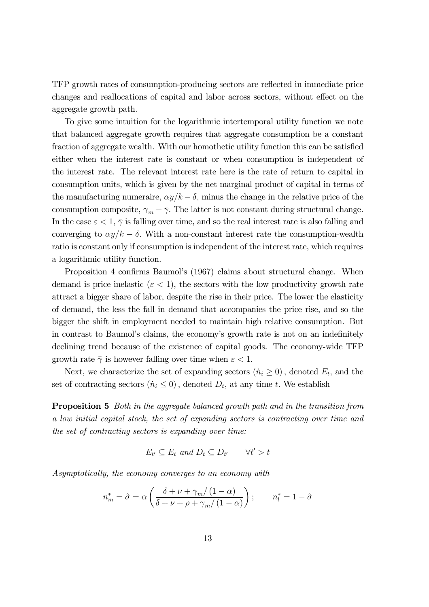TFP growth rates of consumption-producing sectors are reflected in immediate price changes and reallocations of capital and labor across sectors, without effect on the aggregate growth path.

To give some intuition for the logarithmic intertemporal utility function we note that balanced aggregate growth requires that aggregate consumption be a constant fraction of aggregate wealth. With our homothetic utility function this can be satisfied either when the interest rate is constant or when consumption is independent of the interest rate. The relevant interest rate here is the rate of return to capital in consumption units, which is given by the net marginal product of capital in terms of the manufacturing numeraire,  $\alpha y/k - \delta$ , minus the change in the relative price of the consumption composite,  $\gamma_m - \bar{\gamma}$ . The latter is not constant during structural change. In the case  $\varepsilon < 1$ ,  $\bar{\gamma}$  is falling over time, and so the real interest rate is also falling and converging to  $\alpha y/k - \delta$ . With a non-constant interest rate the consumption-wealth ratio is constant only if consumption is independent of the interest rate, which requires a logarithmic utility function.

Proposition 4 confirms Baumol's (1967) claims about structural change. When demand is price inelastic ( $\varepsilon < 1$ ), the sectors with the low productivity growth rate attract a bigger share of labor, despite the rise in their price. The lower the elasticity of demand, the less the fall in demand that accompanies the price rise, and so the bigger the shift in employment needed to maintain high relative consumption. But in contrast to Baumol's claims, the economy's growth rate is not on an indefinitely declining trend because of the existence of capital goods. The economy-wide TFP growth rate  $\bar{\gamma}$  is however falling over time when  $\varepsilon < 1$ .

Next, we characterize the set of expanding sectors  $(\dot{n}_i \geq 0)$ , denoted  $E_t$ , and the set of contracting sectors  $(\dot{n}_i \leq 0)$ , denoted  $D_t$ , at any time t. We establish

Proposition 5 Both in the aggregate balanced growth path and in the transition from a low initial capital stock, the set of expanding sectors is contracting over time and the set of contracting sectors is expanding over time:

$$
E_{t'} \subseteq E_t \text{ and } D_t \subseteq D_{t'} \qquad \forall t' > t
$$

Asymptotically, the economy converges to an economy with

$$
n_m^* = \hat{\sigma} = \alpha \left( \frac{\delta + \nu + \gamma_m/(1-\alpha)}{\delta + \nu + \rho + \gamma_m/(1-\alpha)} \right); \qquad n_l^* = 1 - \hat{\sigma}
$$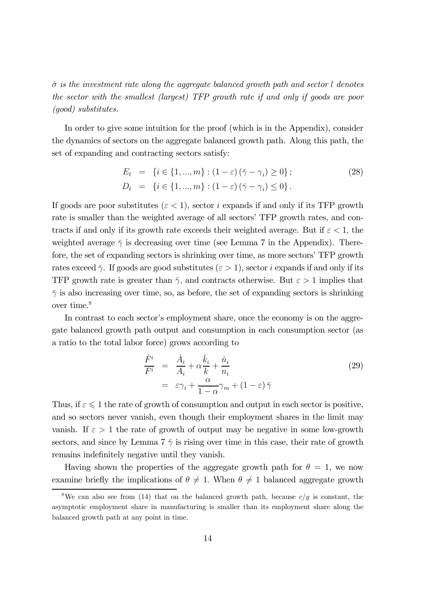$\hat{\sigma}$  is the investment rate along the aggregate balanced growth path and sector l denotes the sector with the smallest (largest) TFP growth rate if and only if goods are poor (good) substitutes.

In order to give some intuition for the proof (which is in the Appendix), consider the dynamics of sectors on the aggregate balanced growth path. Along this path, the set of expanding and contracting sectors satisfy:

$$
E_t = \{i \in \{1, ..., m\} : (1 - \varepsilon) (\bar{\gamma} - \gamma_i) \ge 0\};
$$
  
\n
$$
D_t = \{i \in \{1, ..., m\} : (1 - \varepsilon) (\bar{\gamma} - \gamma_i) \le 0\}.
$$
\n(28)

If goods are poor substitutes ( $\varepsilon$  < 1), sector i expands if and only if its TFP growth rate is smaller than the weighted average of all sectors' TFP growth rates, and contracts if and only if its growth rate exceeds their weighted average. But if  $\varepsilon < 1$ , the weighted average  $\bar{\gamma}$  is decreasing over time (see Lemma 7 in the Appendix). Therefore, the set of expanding sectors is shrinking over time, as more sectors' TFP growth rates exceed  $\bar{\gamma}$ . If goods are good substitutes ( $\varepsilon > 1$ ), sector *i* expands if and only if its TFP growth rate is greater than  $\bar{\gamma}$ , and contracts otherwise. But  $\varepsilon > 1$  implies that  $\bar{\gamma}$  is also increasing over time, so, as before, the set of expanding sectors is shrinking over time.<sup>8</sup>

In contrast to each sector's employment share, once the economy is on the aggregate balanced growth path output and consumption in each consumption sector (as a ratio to the total labor force) grows according to

$$
\frac{\dot{F}^i}{F^i} = \frac{\dot{A}_i}{A_i} + \alpha \frac{\dot{k}_i}{k} + \frac{\dot{n}_i}{n_i} \n= \varepsilon \gamma_i + \frac{\alpha}{1 - \alpha} \gamma_m + (1 - \varepsilon) \bar{\gamma}
$$
\n(29)

Thus, if  $\varepsilon \leq 1$  the rate of growth of consumption and output in each sector is positive, and so sectors never vanish, even though their employment shares in the limit may vanish. If  $\varepsilon > 1$  the rate of growth of output may be negative in some low-growth sectors, and since by Lemma 7  $\bar{\gamma}$  is rising over time in this case, their rate of growth remains indefinitely negative until they vanish.

Having shown the properties of the aggregate growth path for  $\theta = 1$ , we now examine briefly the implications of  $\theta \neq 1$ . When  $\theta \neq 1$  balanced aggregate growth

<sup>&</sup>lt;sup>8</sup>We can also see from (14) that on the balanced growth path, because  $c/y$  is constant, the asymptotic employment share in manufacturing is smaller than its employment share along the balanced growth path at any point in time.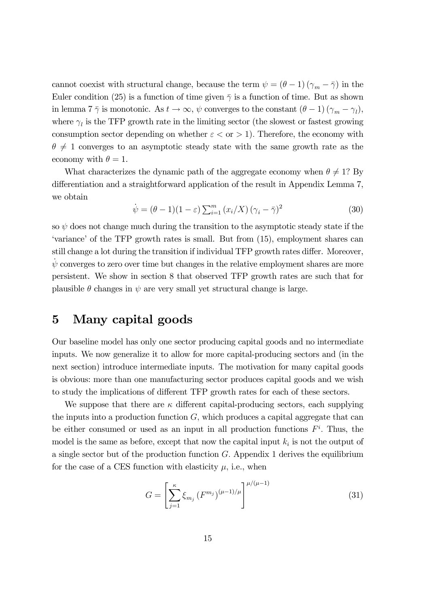cannot coexist with structural change, because the term  $\psi = (\theta - 1)(\gamma_m - \overline{\gamma})$  in the Euler condition (25) is a function of time given  $\bar{\gamma}$  is a function of time. But as shown in lemma 7  $\bar{\gamma}$  is monotonic. As  $t \to \infty$ ,  $\psi$  converges to the constant  $(\theta - 1)(\gamma_m - \gamma_l)$ , where  $\gamma_l$  is the TFP growth rate in the limiting sector (the slowest or fastest growing consumption sector depending on whether  $\varepsilon <$  or > 1). Therefore, the economy with  $\theta \neq 1$  converges to an asymptotic steady state with the same growth rate as the economy with  $\theta = 1$ .

What characterizes the dynamic path of the aggregate economy when  $\theta \neq 1$ ? By differentiation and a straightforward application of the result in Appendix Lemma 7, we obtain

$$
\dot{\psi} = (\theta - 1)(1 - \varepsilon) \sum_{i=1}^{m} (x_i/X) (\gamma_i - \bar{\gamma})^2
$$
\n(30)

so  $\psi$  does not change much during the transition to the asymptotic steady state if the 'variance' of the TFP growth rates is small. But from (15), employment shares can still change a lot during the transition if individual TFP growth rates differ. Moreover,  $\dot{\psi}$  converges to zero over time but changes in the relative employment shares are more persistent. We show in section 8 that observed TFP growth rates are such that for plausible  $\theta$  changes in  $\psi$  are very small yet structural change is large.

### 5 Many capital goods

Our baseline model has only one sector producing capital goods and no intermediate inputs. We now generalize it to allow for more capital-producing sectors and (in the next section) introduce intermediate inputs. The motivation for many capital goods is obvious: more than one manufacturing sector produces capital goods and we wish to study the implications of different TFP growth rates for each of these sectors.

We suppose that there are  $\kappa$  different capital-producing sectors, each supplying the inputs into a production function  $G$ , which produces a capital aggregate that can be either consumed or used as an input in all production functions  $F<sup>i</sup>$ . Thus, the model is the same as before, except that now the capital input  $k_i$  is not the output of a single sector but of the production function  $G$ . Appendix 1 derives the equilibrium for the case of a CES function with elasticity  $\mu$ , i.e., when

$$
G = \left[ \sum_{j=1}^{\kappa} \xi_{m_j} \left( F^{m_j} \right)^{(\mu - 1)/\mu} \right]^{\mu/(\mu - 1)}
$$
(31)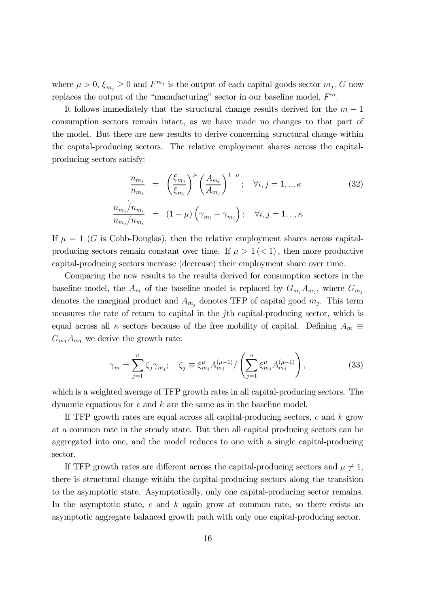where  $\mu > 0$ ,  $\xi_{m_i} \geq 0$  and  $F^{m_j}$  is the output of each capital goods sector  $m_j$ . G now replaces the output of the "manufacturing" sector in our baseline model,  $F<sup>m</sup>$ .

It follows immediately that the structural change results derived for the  $m-1$ consumption sectors remain intact, as we have made no changes to that part of the model. But there are new results to derive concerning structural change within the capital-producing sectors. The relative employment shares across the capitalproducing sectors satisfy:

$$
\frac{n_{m_j}}{n_{m_i}} = \left(\frac{\xi_{m_j}}{\xi_{m_i}}\right)^{\mu} \left(\frac{A_{m_i}}{A_{m_j}}\right)^{1-\mu}; \quad \forall i, j = 1, ..., \kappa
$$
\n
$$
\frac{n_{m_j}/n_{m_i}}{n_{m_j}/n_{m_i}} = (1-\mu) \left(\gamma_{m_i} - \gamma_{m_j}\right); \quad \forall i, j = 1, ..., \kappa
$$
\n(32)

If  $\mu = 1$  (G is Cobb-Douglas), then the relative employment shares across capitalproducing sectors remain constant over time. If  $\mu > 1 \leq 1$ , then more productive capital-producing sectors increase (decrease) their employment share over time.

Comparing the new results to the results derived for consumption sectors in the baseline model, the  $A_m$  of the baseline model is replaced by  $G_{m_i}A_{m_i}$ , where  $G_{m_i}$ denotes the marginal product and  $A_{m_j}$  denotes TFP of capital good  $m_j$ . This term measures the rate of return to capital in the jth capital-producing sector, which is equal across all  $\kappa$  sectors because of the free mobility of capital. Defining  $A_m \equiv$  $G_{m_1}A_{m_1}$  we derive the growth rate:

$$
\gamma_m = \sum_{j=1}^{\kappa} \zeta_j \gamma_{m_j}; \quad \zeta_j \equiv \xi_{m_j}^{\mu} A_{m_j}^{(\mu - 1)} / \left( \sum_{j=1}^{\kappa} \xi_{m_j}^{\mu} A_{m_j}^{(\mu - 1)} \right), \tag{33}
$$

which is a weighted average of TFP growth rates in all capital-producing sectors. The dynamic equations for  $c$  and  $k$  are the same as in the baseline model.

If TFP growth rates are equal across all capital-producing sectors,  $c$  and  $k$  grow at a common rate in the steady state. But then all capital producing sectors can be aggregated into one, and the model reduces to one with a single capital-producing sector.

If TFP growth rates are different across the capital-producing sectors and  $\mu \neq 1$ , there is structural change within the capital-producing sectors along the transition to the asymptotic state. Asymptotically, only one capital-producing sector remains. In the asymptotic state, c and  $k$  again grow at common rate, so there exists an asymptotic aggregate balanced growth path with only one capital-producing sector.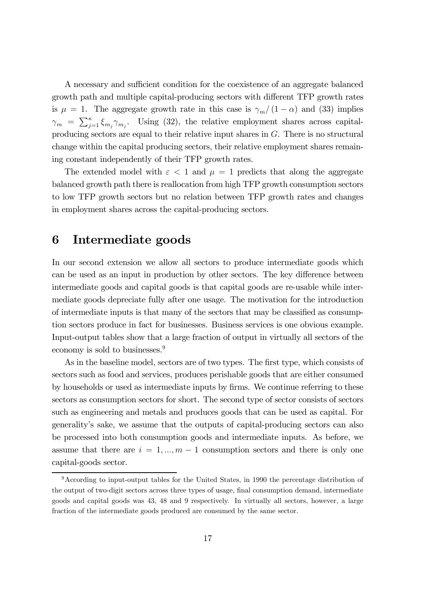A necessary and sufficient condition for the coexistence of an aggregate balanced growth path and multiple capital-producing sectors with different TFP growth rates is  $\mu = 1$ . The aggregate growth rate in this case is  $\gamma_m/(1-\alpha)$  and (33) implies  $\gamma_m = \sum_{j=1}^{\kappa} \xi_{m_j} \gamma_{m_j}$ . Using (32), the relative employment shares across capitalproducing sectors are equal to their relative input shares in  $G$ . There is no structural change within the capital producing sectors, their relative employment shares remaining constant independently of their TFP growth rates.

The extended model with  $\varepsilon < 1$  and  $\mu = 1$  predicts that along the aggregate balanced growth path there is reallocation from high TFP growth consumption sectors to low TFP growth sectors but no relation between TFP growth rates and changes in employment shares across the capital-producing sectors.

#### 6 Intermediate goods

In our second extension we allow all sectors to produce intermediate goods which can be used as an input in production by other sectors. The key difference between intermediate goods and capital goods is that capital goods are re-usable while intermediate goods depreciate fully after one usage. The motivation for the introduction of intermediate inputs is that many of the sectors that may be classified as consumption sectors produce in fact for businesses. Business services is one obvious example. Input-output tables show that a large fraction of output in virtually all sectors of the economy is sold to businesses.9

As in the baseline model, sectors are of two types. The first type, which consists of sectors such as food and services, produces perishable goods that are either consumed by households or used as intermediate inputs by firms. We continue referring to these sectors as consumption sectors for short. The second type of sector consists of sectors such as engineering and metals and produces goods that can be used as capital. For generality's sake, we assume that the outputs of capital-producing sectors can also be processed into both consumption goods and intermediate inputs. As before, we assume that there are  $i = 1, ..., m - 1$  consumption sectors and there is only one capital-goods sector.

<sup>9</sup>According to input-output tables for the United States, in 1990 the percentage distribution of the output of two-digit sectors across three types of usage, final consumption demand, intermediate goods and capital goods was 43, 48 and 9 respectively. In virtually all sectors, however, a large fraction of the intermediate goods produced are consumed by the same sector.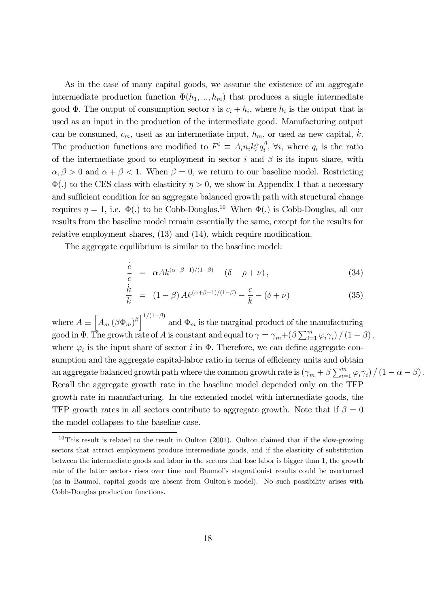As in the case of many capital goods, we assume the existence of an aggregate intermediate production function  $\Phi(h_1, ..., h_m)$  that produces a single intermediate good  $\Phi$ . The output of consumption sector *i* is  $c_i + h_i$ , where  $h_i$  is the output that is used as an input in the production of the intermediate good. Manufacturing output can be consumed,  $c_m$ , used as an intermediate input,  $h_m$ , or used as new capital,  $\dot{k}$ . The production functions are modified to  $F^i \equiv A_i n_i k_i^{\alpha} q_i^{\beta}$ ,  $\forall i$ , where  $q_i$  is the ratio of the intermediate good to employment in sector i and  $\beta$  is its input share, with  $\alpha, \beta > 0$  and  $\alpha + \beta < 1$ . When  $\beta = 0$ , we return to our baseline model. Restricting  $\Phi(.)$  to the CES class with elasticity  $\eta > 0$ , we show in Appendix 1 that a necessary and sufficient condition for an aggregate balanced growth path with structural change requires  $\eta = 1$ , i.e.  $\Phi(.)$  to be Cobb-Douglas.<sup>10</sup> When  $\Phi(.)$  is Cobb-Douglas, all our results from the baseline model remain essentially the same, except for the results for relative employment shares, (13) and (14), which require modification.

The aggregate equilibrium is similar to the baseline model:

$$
\frac{\dot{c}}{c} = \alpha A k^{(\alpha+\beta-1)/(1-\beta)} - (\delta + \rho + \nu), \qquad (34)
$$

$$
\frac{\dot{k}}{k} = (1 - \beta) Ak^{(\alpha + \beta - 1)/(1 - \beta)} - \frac{c}{k} - (\delta + \nu)
$$
\n(35)

where  $A \equiv \left[A_m (\beta \Phi_m)^{\beta}\right]^{1/(1-\beta)}$  and  $\Phi_m$  is the marginal product of the manufacturing good in  $\Phi$ . The growth rate of A is constant and equal to  $\gamma = \gamma_m + (\beta \sum_{i=1}^m \varphi_i \gamma_i) / (1 - \beta)$ , where  $\varphi_i$  is the input share of sector i in  $\Phi$ . Therefore, we can define aggregate consumption and the aggregate capital-labor ratio in terms of efficiency units and obtain an aggregate balanced growth path where the common growth rate is  $(\gamma_m + \beta \sum_{i=1}^m \varphi_i \gamma_i)/(1 - \alpha - \beta)$ . Recall the aggregate growth rate in the baseline model depended only on the TFP growth rate in manufacturing. In the extended model with intermediate goods, the TFP growth rates in all sectors contribute to aggregate growth. Note that if  $\beta = 0$ the model collapses to the baseline case.

 $10$ This result is related to the result in Oulton (2001). Oulton claimed that if the slow-growing sectors that attract employment produce intermediate goods, and if the elasticity of substitution between the intermediate goods and labor in the sectors that lose labor is bigger than 1, the growth rate of the latter sectors rises over time and Baumol's stagnationist results could be overturned (as in Baumol, capital goods are absent from Oulton's model). No such possibility arises with Cobb-Douglas production functions.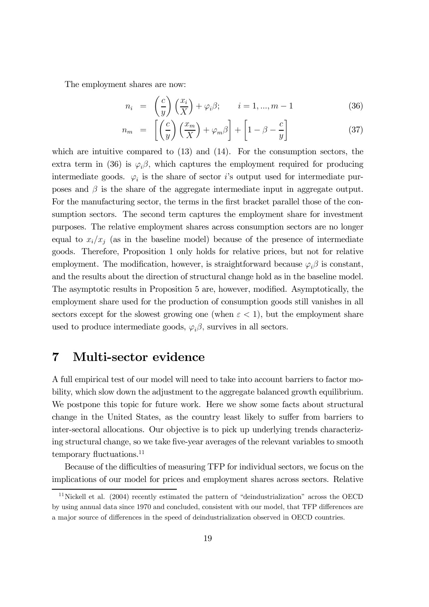The employment shares are now:

$$
n_i = \left(\frac{c}{y}\right)\left(\frac{x_i}{X}\right) + \varphi_i \beta; \qquad i = 1, ..., m - 1 \tag{36}
$$

$$
n_m = \left[ \left( \frac{c}{y} \right) \left( \frac{x_m}{X} \right) + \varphi_m \beta \right] + \left[ 1 - \beta - \frac{c}{y} \right] \tag{37}
$$

which are intuitive compared to (13) and (14). For the consumption sectors, the extra term in (36) is  $\varphi_i \beta$ , which captures the employment required for producing intermediate goods.  $\varphi_i$  is the share of sector is output used for intermediate purposes and  $\beta$  is the share of the aggregate intermediate input in aggregate output. For the manufacturing sector, the terms in the first bracket parallel those of the consumption sectors. The second term captures the employment share for investment purposes. The relative employment shares across consumption sectors are no longer equal to  $x_i/x_j$  (as in the baseline model) because of the presence of intermediate goods. Therefore, Proposition 1 only holds for relative prices, but not for relative employment. The modification, however, is straightforward because  $\varphi_i \beta$  is constant, and the results about the direction of structural change hold as in the baseline model. The asymptotic results in Proposition 5 are, however, modified. Asymptotically, the employment share used for the production of consumption goods still vanishes in all sectors except for the slowest growing one (when  $\varepsilon < 1$ ), but the employment share used to produce intermediate goods,  $\varphi_i \beta$ , survives in all sectors.

#### 7 Multi-sector evidence

A full empirical test of our model will need to take into account barriers to factor mobility, which slow down the adjustment to the aggregate balanced growth equilibrium. We postpone this topic for future work. Here we show some facts about structural change in the United States, as the country least likely to suffer from barriers to inter-sectoral allocations. Our objective is to pick up underlying trends characterizing structural change, so we take five-year averages of the relevant variables to smooth temporary fluctuations.<sup>11</sup>

Because of the difficulties of measuring TFP for individual sectors, we focus on the implications of our model for prices and employment shares across sectors. Relative

<sup>&</sup>lt;sup>11</sup>Nickell et al.  $(2004)$  recently estimated the pattern of "deindustrialization" across the OECD by using annual data since 1970 and concluded, consistent with our model, that TFP differences are a major source of differences in the speed of deindustrialization observed in OECD countries.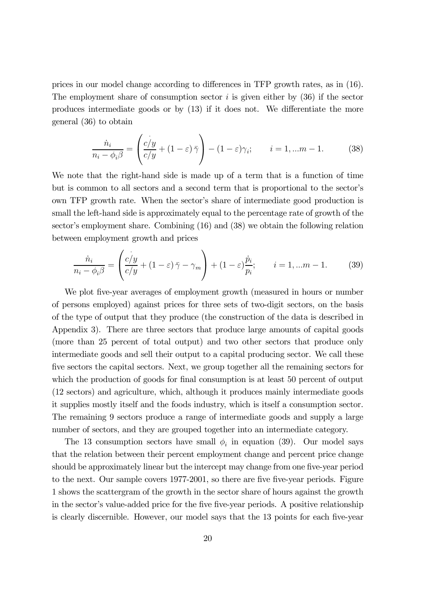prices in our model change according to differences in TFP growth rates, as in (16). The employment share of consumption sector  $i$  is given either by (36) if the sector produces intermediate goods or by (13) if it does not. We differentiate the more general (36) to obtain

$$
\frac{\dot{n}_i}{n_i - \phi_i \beta} = \left(\frac{c/y}{c/y} + (1 - \varepsilon)\bar{\gamma}\right) - (1 - \varepsilon)\gamma_i; \qquad i = 1, \dots m - 1. \tag{38}
$$

We note that the right-hand side is made up of a term that is a function of time but is common to all sectors and a second term that is proportional to the sector's own TFP growth rate. When the sector's share of intermediate good production is small the left-hand side is approximately equal to the percentage rate of growth of the sector's employment share. Combining (16) and (38) we obtain the following relation between employment growth and prices

$$
\frac{\dot{n}_i}{n_i - \phi_i \beta} = \left(\frac{c/y}{c/y} + (1 - \varepsilon)\bar{\gamma} - \gamma_m\right) + (1 - \varepsilon)\frac{\dot{p}_i}{p_i}; \qquad i = 1, \dots m - 1. \tag{39}
$$

We plot five-year averages of employment growth (measured in hours or number of persons employed) against prices for three sets of two-digit sectors, on the basis of the type of output that they produce (the construction of the data is described in Appendix 3). There are three sectors that produce large amounts of capital goods (more than 25 percent of total output) and two other sectors that produce only intermediate goods and sell their output to a capital producing sector. We call these five sectors the capital sectors. Next, we group together all the remaining sectors for which the production of goods for final consumption is at least 50 percent of output (12 sectors) and agriculture, which, although it produces mainly intermediate goods it supplies mostly itself and the foods industry, which is itself a consumption sector. The remaining 9 sectors produce a range of intermediate goods and supply a large number of sectors, and they are grouped together into an intermediate category.

The 13 consumption sectors have small  $\phi_i$  in equation (39). Our model says that the relation between their percent employment change and percent price change should be approximately linear but the intercept may change from one five-year period to the next. Our sample covers 1977-2001, so there are five five-year periods. Figure 1 shows the scattergram of the growth in the sector share of hours against the growth in the sector's value-added price for the five five-year periods. A positive relationship is clearly discernible. However, our model says that the 13 points for each five-year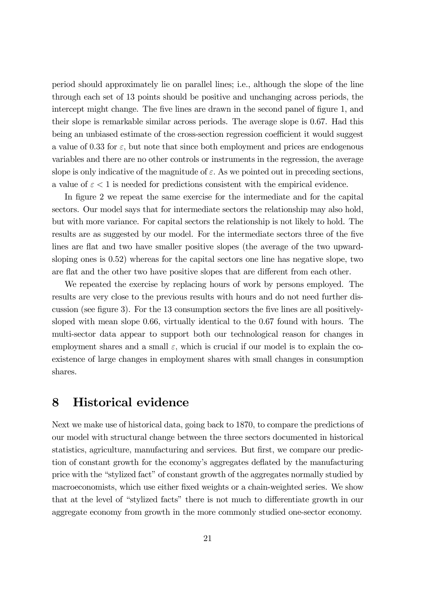period should approximately lie on parallel lines; i.e., although the slope of the line through each set of 13 points should be positive and unchanging across periods, the intercept might change. The five lines are drawn in the second panel of figure 1, and their slope is remarkable similar across periods. The average slope is 0.67. Had this being an unbiased estimate of the cross-section regression coefficient it would suggest a value of 0.33 for  $\varepsilon$ , but note that since both employment and prices are endogenous variables and there are no other controls or instruments in the regression, the average slope is only indicative of the magnitude of  $\varepsilon$ . As we pointed out in preceding sections, a value of  $\varepsilon < 1$  is needed for predictions consistent with the empirical evidence.

In figure 2 we repeat the same exercise for the intermediate and for the capital sectors. Our model says that for intermediate sectors the relationship may also hold, but with more variance. For capital sectors the relationship is not likely to hold. The results are as suggested by our model. For the intermediate sectors three of the five lines are flat and two have smaller positive slopes (the average of the two upwardsloping ones is 0.52) whereas for the capital sectors one line has negative slope, two are flat and the other two have positive slopes that are different from each other.

We repeated the exercise by replacing hours of work by persons employed. The results are very close to the previous results with hours and do not need further discussion (see figure 3). For the 13 consumption sectors the five lines are all positivelysloped with mean slope 0.66, virtually identical to the 0.67 found with hours. The multi-sector data appear to support both our technological reason for changes in employment shares and a small  $\varepsilon$ , which is crucial if our model is to explain the coexistence of large changes in employment shares with small changes in consumption shares.

# 8 Historical evidence

Next we make use of historical data, going back to 1870, to compare the predictions of our model with structural change between the three sectors documented in historical statistics, agriculture, manufacturing and services. But first, we compare our prediction of constant growth for the economy's aggregates deflated by the manufacturing price with the "stylized fact" of constant growth of the aggregates normally studied by macroeconomists, which use either fixed weights or a chain-weighted series. We show that at the level of "stylized facts" there is not much to differentiate growth in our aggregate economy from growth in the more commonly studied one-sector economy.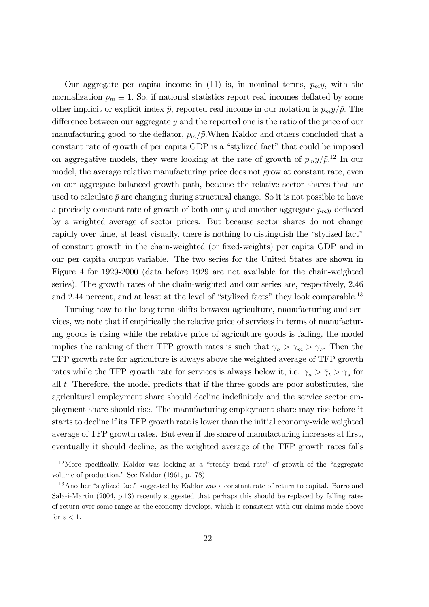Our aggregate per capita income in (11) is, in nominal terms,  $p_m y$ , with the normalization  $p_m \equiv 1$ . So, if national statistics report real incomes deflated by some other implicit or explicit index  $\tilde{p}$ , reported real income in our notation is  $p_m y/\tilde{p}$ . The difference between our aggregate  $y$  and the reported one is the ratio of the price of our manufacturing good to the deflator,  $p_m/\tilde{p}$ . When Kaldor and others concluded that a constant rate of growth of per capita GDP is a "stylized fact" that could be imposed on aggregative models, they were looking at the rate of growth of  $p_m y / \tilde{p}^{12}$  In our model, the average relative manufacturing price does not grow at constant rate, even on our aggregate balanced growth path, because the relative sector shares that are used to calculate  $\tilde{p}$  are changing during structural change. So it is not possible to have a precisely constant rate of growth of both our  $y$  and another aggregate  $p_m y$  deflated by a weighted average of sector prices. But because sector shares do not change rapidly over time, at least visually, there is nothing to distinguish the "stylized fact" of constant growth in the chain-weighted (or fixed-weights) per capita GDP and in our per capita output variable. The two series for the United States are shown in Figure 4 for 1929-2000 (data before 1929 are not available for the chain-weighted series). The growth rates of the chain-weighted and our series are, respectively, 2.46 and 2.44 percent, and at least at the level of "stylized facts" they look comparable.<sup>13</sup>

Turning now to the long-term shifts between agriculture, manufacturing and services, we note that if empirically the relative price of services in terms of manufacturing goods is rising while the relative price of agriculture goods is falling, the model implies the ranking of their TFP growth rates is such that  $\gamma_a > \gamma_m > \gamma_s$ . Then the TFP growth rate for agriculture is always above the weighted average of TFP growth rates while the TFP growth rate for services is always below it, i.e.  $\gamma_a > \bar{\gamma}_t > \gamma_s$  for all t. Therefore, the model predicts that if the three goods are poor substitutes, the agricultural employment share should decline indefinitely and the service sector employment share should rise. The manufacturing employment share may rise before it starts to decline if its TFP growth rate is lower than the initial economy-wide weighted average of TFP growth rates. But even if the share of manufacturing increases at first, eventually it should decline, as the weighted average of the TFP growth rates falls

<sup>12</sup>More specifically, Kaldor was looking at a "steady trend rate" of growth of the "aggregate volume of production." See Kaldor (1961, p.178)

<sup>&</sup>lt;sup>13</sup> Another "stylized fact" suggested by Kaldor was a constant rate of return to capital. Barro and Sala-i-Martin (2004, p.13) recently suggested that perhaps this should be replaced by falling rates of return over some range as the economy develops, which is consistent with our claims made above for  $\varepsilon < 1$ .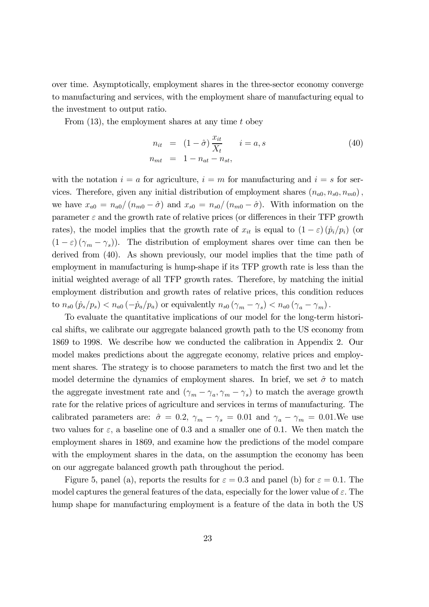over time. Asymptotically, employment shares in the three-sector economy converge to manufacturing and services, with the employment share of manufacturing equal to the investment to output ratio.

From  $(13)$ , the employment shares at any time t obey

$$
n_{it} = (1 - \hat{\sigma}) \frac{x_{it}}{X_t} \qquad i = a, s
$$
  
\n
$$
n_{mt} = 1 - n_{at} - n_{st},
$$
\n(40)

with the notation  $i = a$  for agriculture,  $i = m$  for manufacturing and  $i = s$  for services. Therefore, given any initial distribution of employment shares  $(n_{a0}, n_{s0}, n_{m0})$ , we have  $x_{a0} = n_{a0}/(n_{m0} - \hat{\sigma})$  and  $x_{s0} = n_{s0}/(n_{m0} - \hat{\sigma})$ . With information on the parameter  $\varepsilon$  and the growth rate of relative prices (or differences in their TFP growth rates), the model implies that the growth rate of  $x_{it}$  is equal to  $(1 - \varepsilon) (\dot{p}_i / p_i)$  (or  $(1 - \varepsilon)(\gamma_m - \gamma_s)$ . The distribution of employment shares over time can then be derived from (40). As shown previously, our model implies that the time path of employment in manufacturing is hump-shape if its TFP growth rate is less than the initial weighted average of all TFP growth rates. Therefore, by matching the initial employment distribution and growth rates of relative prices, this condition reduces to  $n_{s0}$   $(\dot{p}_s/p_s) < n_{a0}$   $(-\dot{p}_a/p_a)$  or equivalently  $n_{s0}$   $(\gamma_m - \gamma_s) < n_{a0}$   $(\gamma_a - \gamma_m)$ .

To evaluate the quantitative implications of our model for the long-term historical shifts, we calibrate our aggregate balanced growth path to the US economy from 1869 to 1998. We describe how we conducted the calibration in Appendix 2. Our model makes predictions about the aggregate economy, relative prices and employment shares. The strategy is to choose parameters to match the first two and let the model determine the dynamics of employment shares. In brief, we set  $\hat{\sigma}$  to match the aggregate investment rate and  $(\gamma_m - \gamma_a, \gamma_m - \gamma_s)$  to match the average growth rate for the relative prices of agriculture and services in terms of manufacturing. The calibrated parameters are:  $\hat{\sigma} = 0.2$ ,  $\gamma_m - \gamma_s = 0.01$  and  $\gamma_a - \gamma_m = 0.01$ . We use two values for  $\varepsilon$ , a baseline one of 0.3 and a smaller one of 0.1. We then match the employment shares in 1869, and examine how the predictions of the model compare with the employment shares in the data, on the assumption the economy has been on our aggregate balanced growth path throughout the period.

Figure 5, panel (a), reports the results for  $\varepsilon = 0.3$  and panel (b) for  $\varepsilon = 0.1$ . The model captures the general features of the data, especially for the lower value of  $\varepsilon$ . The hump shape for manufacturing employment is a feature of the data in both the US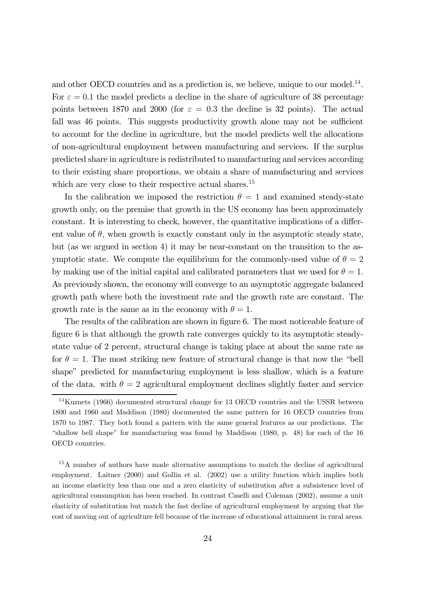and other OECD countries and as a prediction is, we believe, unique to our model.<sup>14</sup>. For  $\varepsilon = 0.1$  the model predicts a decline in the share of agriculture of 38 percentage points between 1870 and 2000 (for  $\varepsilon = 0.3$  the decline is 32 points). The actual fall was 46 points. This suggests productivity growth alone may not be sufficient to account for the decline in agriculture, but the model predicts well the allocations of non-agricultural employment between manufacturing and services. If the surplus predicted share in agriculture is redistributed to manufacturing and services according to their existing share proportions, we obtain a share of manufacturing and services which are very close to their respective actual shares.<sup>15</sup>

In the calibration we imposed the restriction  $\theta = 1$  and examined steady-state growth only, on the premise that growth in the US economy has been approximately constant. It is interesting to check, however, the quantitative implications of a different value of  $\theta$ , when growth is exactly constant only in the asymptotic steady state, but (as we argued in section 4) it may be near-constant on the transition to the asymptotic state. We compute the equilibrium for the commonly-used value of  $\theta = 2$ by making use of the initial capital and calibrated parameters that we used for  $\theta = 1$ . As previously shown, the economy will converge to an asymptotic aggregate balanced growth path where both the investment rate and the growth rate are constant. The growth rate is the same as in the economy with  $\theta = 1$ .

The results of the calibration are shown in figure 6. The most noticeable feature of figure 6 is that although the growth rate converges quickly to its asymptotic steadystate value of 2 percent, structural change is taking place at about the same rate as for  $\theta = 1$ . The most striking new feature of structural change is that now the "bell" shape" predicted for manufacturing employment is less shallow, which is a feature of the data. with  $\theta = 2$  agricultural employment declines slightly faster and service

<sup>&</sup>lt;sup>14</sup>Kuznets (1966) documented structural change for 13 OECD countries and the USSR between 1800 and 1960 and Maddison (1980) documented the same pattern for 16 OECD countries from 1870 to 1987. They both found a pattern with the same general features as our predictions. The "shallow bell shape" for manufacturing was found by Maddison (1980, p. 48) for each of the 16 OECD countries.

<sup>15</sup>A number of authors have made alternative assumptions to match the decline of agricultural employment. Laitner (2000) and Gollin et al. (2002) use a utility function which implies both an income elasticity less than one and a zero elasticity of substitution after a subsistence level of agricultural consumption has been reached. In contrast Caselli and Coleman (2002), assume a unit elasticity of substitution but match the fast decline of agricultural employment by arguing that the cost of moving out of agriculture fell because of the increase of educational attainment in rural areas.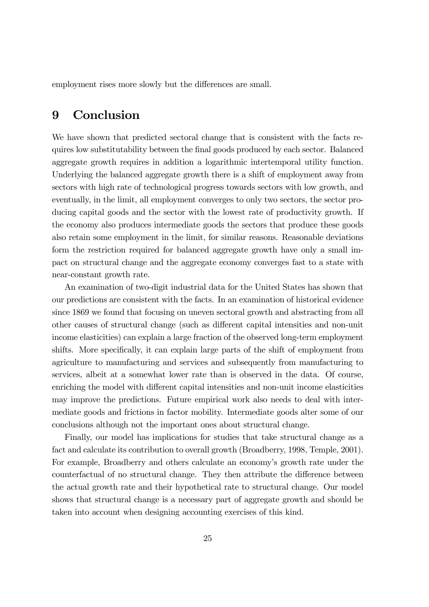employment rises more slowly but the differences are small.

#### 9 Conclusion

We have shown that predicted sectoral change that is consistent with the facts requires low substitutability between the final goods produced by each sector. Balanced aggregate growth requires in addition a logarithmic intertemporal utility function. Underlying the balanced aggregate growth there is a shift of employment away from sectors with high rate of technological progress towards sectors with low growth, and eventually, in the limit, all employment converges to only two sectors, the sector producing capital goods and the sector with the lowest rate of productivity growth. If the economy also produces intermediate goods the sectors that produce these goods also retain some employment in the limit, for similar reasons. Reasonable deviations form the restriction required for balanced aggregate growth have only a small impact on structural change and the aggregate economy converges fast to a state with near-constant growth rate.

An examination of two-digit industrial data for the United States has shown that our predictions are consistent with the facts. In an examination of historical evidence since 1869 we found that focusing on uneven sectoral growth and abstracting from all other causes of structural change (such as different capital intensities and non-unit income elasticities) can explain a large fraction of the observed long-term employment shifts. More specifically, it can explain large parts of the shift of employment from agriculture to manufacturing and services and subsequently from manufacturing to services, albeit at a somewhat lower rate than is observed in the data. Of course, enriching the model with different capital intensities and non-unit income elasticities may improve the predictions. Future empirical work also needs to deal with intermediate goods and frictions in factor mobility. Intermediate goods alter some of our conclusions although not the important ones about structural change.

Finally, our model has implications for studies that take structural change as a fact and calculate its contribution to overall growth (Broadberry, 1998, Temple, 2001). For example, Broadberry and others calculate an economy's growth rate under the counterfactual of no structural change. They then attribute the difference between the actual growth rate and their hypothetical rate to structural change. Our model shows that structural change is a necessary part of aggregate growth and should be taken into account when designing accounting exercises of this kind.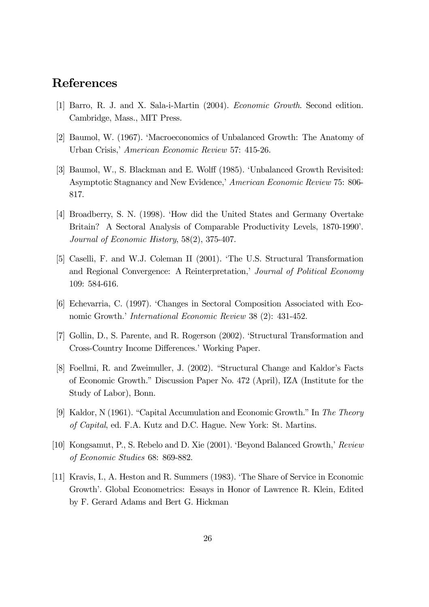### References

- [1] Barro, R. J. and X. Sala-i-Martin (2004). Economic Growth. Second edition. Cambridge, Mass., MIT Press.
- [2] Baumol, W. (1967). 'Macroeconomics of Unbalanced Growth: The Anatomy of Urban Crisis,' American Economic Review 57: 415-26.
- [3] Baumol, W., S. Blackman and E. Wolff (1985). 'Unbalanced Growth Revisited: Asymptotic Stagnancy and New Evidence,' American Economic Review 75: 806- 817.
- [4] Broadberry, S. N. (1998). 'How did the United States and Germany Overtake Britain? A Sectoral Analysis of Comparable Productivity Levels, 1870-1990'. Journal of Economic History, 58(2), 375-407.
- [5] Caselli, F. and W.J. Coleman II (2001). 'The U.S. Structural Transformation and Regional Convergence: A Reinterpretation,' Journal of Political Economy 109: 584-616.
- [6] Echevarria, C. (1997). 'Changes in Sectoral Composition Associated with Economic Growth.' International Economic Review 38 (2): 431-452.
- [7] Gollin, D., S. Parente, and R. Rogerson (2002). 'Structural Transformation and Cross-Country Income Differences.' Working Paper.
- [8] Foellmi, R. and Zweimuller, J. (2002). "Structural Change and Kaldor's Facts of Economic Growth." Discussion Paper No. 472 (April), IZA (Institute for the Study of Labor), Bonn.
- [9] Kaldor, N (1961). "Capital Accumulation and Economic Growth." In The Theory of Capital, ed. F.A. Kutz and D.C. Hague. New York: St. Martins.
- [10] Kongsamut, P., S. Rebelo and D. Xie (2001). 'Beyond Balanced Growth,' Review of Economic Studies 68: 869-882.
- [11] Kravis, I., A. Heston and R. Summers (1983). 'The Share of Service in Economic Growth'. Global Econometrics: Essays in Honor of Lawrence R. Klein, Edited by F. Gerard Adams and Bert G. Hickman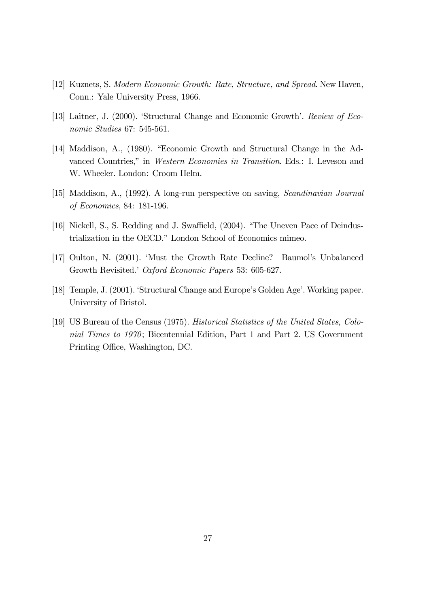- [12] Kuznets, S. Modern Economic Growth: Rate, Structure, and Spread. New Haven, Conn.: Yale University Press, 1966.
- [13] Laitner, J. (2000). 'Structural Change and Economic Growth'. Review of Economic Studies 67: 545-561.
- [14] Maddison, A., (1980). "Economic Growth and Structural Change in the Advanced Countries," in Western Economies in Transition. Eds.: I. Leveson and W. Wheeler. London: Croom Helm.
- [15] Maddison, A., (1992). A long-run perspective on saving, Scandinavian Journal of Economics, 84: 181-196.
- [16] Nickell, S., S. Redding and J. Swaffield, (2004). "The Uneven Pace of Deindustrialization in the OECD." London School of Economics mimeo.
- [17] Oulton, N. (2001). 'Must the Growth Rate Decline? Baumol's Unbalanced Growth Revisited.' Oxford Economic Papers 53: 605-627.
- [18] Temple, J. (2001). 'Structural Change and Europe's Golden Age'. Working paper. University of Bristol.
- [19] US Bureau of the Census (1975). Historical Statistics of the United States, Colonial Times to 1970; Bicentennial Edition, Part 1 and Part 2. US Government Printing Office, Washington, DC.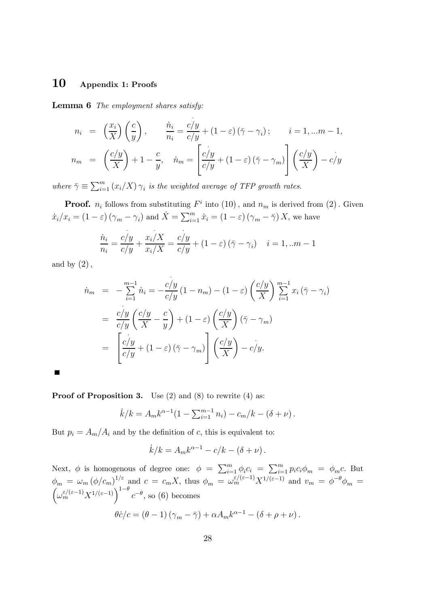#### 10 Appendix 1: Proofs

Lemma 6 The employment shares satisfy:

$$
n_i = \left(\frac{x_i}{X}\right)\left(\frac{c}{y}\right), \qquad \frac{\dot{n}_i}{n_i} = \frac{c/y}{c/y} + (1 - \varepsilon)(\bar{\gamma} - \gamma_i); \qquad i = 1, \dots m - 1,
$$
  

$$
n_m = \left(\frac{c/y}{X}\right) + 1 - \frac{c}{y}, \quad \dot{n}_m = \left[\frac{c/y}{c/y} + (1 - \varepsilon)(\bar{\gamma} - \gamma_m)\right]\left(\frac{c/y}{X}\right) - c/y
$$

where  $\bar{\gamma} \equiv \sum_{i=1}^{m} (x_i/X) \gamma_i$  is the weighted average of TFP growth rates.

**Proof.**  $n_i$  follows from substituting  $F^i$  into  $(10)$ , and  $n_m$  is derived from  $(2)$ . Given  $\dot{x}_i/x_i = (1 - \varepsilon)(\gamma_m - \gamma_i)$  and  $\dot{X} = \sum_{i=1}^m \dot{x}_i = (1 - \varepsilon)(\gamma_m - \bar{\gamma})X$ , we have

$$
\frac{\dot{n}_i}{n_i} = \frac{c/y}{c/y} + \frac{x_i/X}{x_i/X} = \frac{c/y}{c/y} + (1 - \varepsilon)(\bar{\gamma} - \gamma_i) \quad i = 1, ...m - 1
$$

and by  $(2)$ ,

 $\blacksquare$ 

$$
\dot{n}_m = -\sum_{i=1}^{m-1} \dot{n}_i = -\frac{c/y}{c/y} (1 - n_m) - (1 - \varepsilon) \left(\frac{c/y}{X}\right) \sum_{i=1}^{m-1} x_i (\bar{\gamma} - \gamma_i)
$$
  
\n
$$
= \frac{c/y}{c/y} \left(\frac{c/y}{X} - \frac{c}{y}\right) + (1 - \varepsilon) \left(\frac{c/y}{X}\right) (\bar{\gamma} - \gamma_m)
$$
  
\n
$$
= \left[\frac{c/y}{c/y} + (1 - \varepsilon) (\bar{\gamma} - \gamma_m) \right] \left(\frac{c/y}{X}\right) - c/y.
$$

**Proof of Proposition 3.** Use (2) and (8) to rewrite (4) as:

$$
\dot{k}/k = A_m k^{\alpha - 1} (1 - \sum_{i=1}^{m-1} n_i) - c_m/k - (\delta + \nu).
$$

But  $p_i = A_m/A_i$  and by the definition of c, this is equivalent to:

$$
\dot{k}/k = A_m k^{\alpha - 1} - c/k - (\delta + \nu).
$$

Next,  $\phi$  is homogenous of degree one:  $\phi = \sum_{i=1}^{m} \phi_i c_i = \sum_{i=1}^{m} p_i c_i \phi_m = \phi_m c$ . But  $\phi_m = \omega_m (\phi/c_m)^{1/\varepsilon}$  and  $c = c_m X$ , thus  $\phi_m = \omega_m^{\varepsilon/(\varepsilon-1)} X^{1/(\varepsilon-1)}$  and  $v_m = \phi^{-\theta} \phi_m = (\omega_m^{\varepsilon/(\varepsilon-1)} X^{1/(\varepsilon-1)})^{1-\theta} c^{-\theta}$ , so (6) becomes  $\theta \dot{c}/c = (\theta - 1)(\gamma_m - \bar{\gamma}) + \alpha A_m k^{\alpha - 1} - (\delta + \rho + \nu).$ 

$$
c = \begin{pmatrix} 0 & 1 \end{pmatrix} \begin{pmatrix} m & 1 \end{pmatrix} + \alpha \alpha \mathbf{1}_m \alpha \qquad \qquad \begin{pmatrix} 0 & p \end{pmatrix}
$$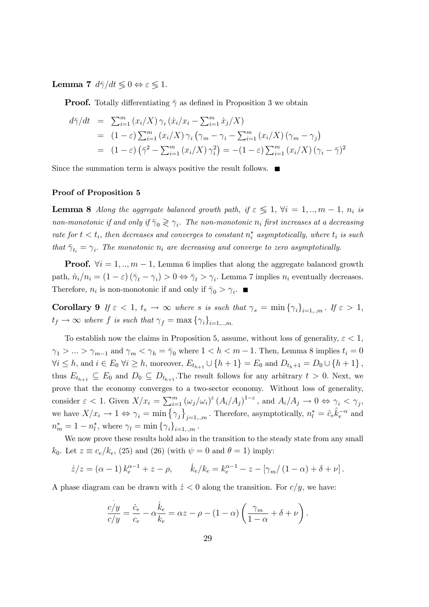Lemma 7  $d\bar{\gamma}/dt \leqslant 0 \Leftrightarrow \varepsilon \leqslant 1$ .

**Proof.** Totally differentiating  $\bar{\gamma}$  as defined in Proposition 3 we obtain

$$
d\bar{\gamma}/dt = \sum_{i=1}^{m} (x_i/X) \gamma_i (\dot{x}_i/x_i - \sum_{i=1}^{m} \dot{x}_j/X)
$$
  
\n
$$
= (1 - \varepsilon) \sum_{i=1}^{m} (x_i/X) \gamma_i (\gamma_m - \gamma_i - \sum_{i=1}^{m} (x_i/X) (\gamma_m - \gamma_j)
$$
  
\n
$$
= (1 - \varepsilon) (\bar{\gamma}^2 - \sum_{i=1}^{m} (x_i/X) \gamma_i^2) = -(1 - \varepsilon) \sum_{i=1}^{m} (x_i/X) (\gamma_i - \bar{\gamma})^2
$$

Since the summation term is always positive the result follows.  $\blacksquare$ 

#### Proof of Proposition 5

**Lemma 8** Along the aggregate balanced growth path, if  $\varepsilon \leq 1$ ,  $\forall i = 1, ..., m-1$ ,  $n_i$  is non-monotonic if and only if  $\bar{\gamma}_0 \geq \gamma_i$ . The non-monotonic  $n_i$  first increases at a decreasing rate for  $t < t_i$ , then decreases and converges to constant  $n_i^*$  asymptotically, where  $t_i$  is such that  $\bar{\gamma}_{t_i} = \gamma_i$ . The monotonic  $n_i$  are decreasing and converge to zero asymptotically.

**Proof.**  $\forall i = 1, ..., m - 1$ , Lemma 6 implies that along the aggregate balanced growth path,  $\dot{n}_i/n_i = (1 - \varepsilon)(\bar{\gamma}_t - \gamma_i) > 0 \Leftrightarrow \bar{\gamma}_t > \gamma_i$ . Lemma 7 implies  $n_i$  eventually decreases. Therefore,  $n_i$  is non-monotonic if and only if  $\bar{\gamma}_0 > \gamma_i$ .

Corollary 9 If  $\varepsilon < 1$ ,  $t_s \to \infty$  where s is such that  $\gamma_s = \min \{\gamma_i\}_{i=1...m}$ . If  $\varepsilon > 1$ ,  $t_f \rightarrow \infty$  where f is such that  $\gamma_f = \max \{ \gamma_i \}_{i=1...m}$ .

To establish now the claims in Proposition 5, assume, without loss of generality,  $\varepsilon < 1$ ,  $\gamma_1 > ... > \gamma_{m-1}$  and  $\gamma_m < \gamma_h = \bar{\gamma}_0$  where  $1 < h < m - 1$ . Then, Lemma 8 implies  $t_i = 0$  $\forall i \leq h$ , and  $i \in E_0$   $\forall i \geq h$ , moreover,  $E_{t_{h+1}} \cup \{h+1\} = E_0$  and  $D_{t_h+1} = D_0 \cup \{h+1\}$ , thus  $E_{t_{h+1}} \subseteq E_0$  and  $D_0 \subseteq D_{t_{h+1}}$ . The result follows for any arbitrary  $t > 0$ . Next, we prove that the economy converges to a two-sector economy. Without loss of generality, consider  $\varepsilon < 1$ . Given  $X/x_i = \sum_{i=1}^m (\omega_j/\omega_i)^{\varepsilon} (A_i/A_j)^{1-\varepsilon}$ , and  $A_i/A_j \to 0 \Leftrightarrow \gamma_i < \gamma_j$ , we have  $X/x_i \to 1 \Leftrightarrow \gamma_i = \min \{ \gamma_j \}_{j=1...m}$ . Therefore, asymptotically,  $n_l^* = \hat{c}_e \hat{k}_e^{-\alpha}$  and  $n_m^* = 1 - n_l^*$ , where  $\gamma_l = \min \{ \gamma_i \}_{i=1,..,m}$ .

We now prove these results hold also in the transition to the steady state from any small  $k_0$ . Let  $z \equiv c_e/k_e$ , (25) and (26) (with  $\psi = 0$  and  $\theta = 1$ ) imply:

$$
\dot{z}/z = (\alpha - 1) k_e^{\alpha - 1} + z - \rho, \qquad \dot{k}_e / k_e = k_e^{\alpha - 1} - z - [\gamma_m/(1 - \alpha) + \delta + \nu].
$$

A phase diagram can be drawn with  $\dot{z}$  < 0 along the transition. For  $c/y$ , we have:

$$
\frac{c/y}{c/y} = \frac{\dot{c}_e}{c_e} - \alpha \frac{\dot{k}_e}{k_e} = \alpha z - \rho - (1 - \alpha) \left( \frac{\gamma_m}{1 - \alpha} + \delta + \nu \right).
$$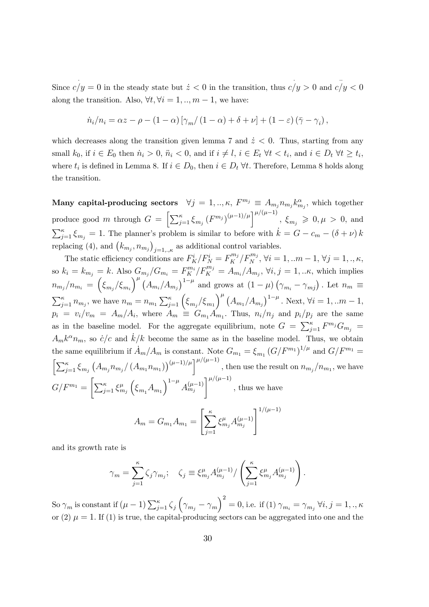Since  $c/y = 0$  in the steady state but  $\dot{z} < 0$  in the transition, thus  $c/y > 0$  and  $c/y < 0$ along the transition. Also,  $\forall t, \forall i = 1, ..., m - 1$ , we have:

$$
\dot{n}_i/n_i = \alpha z - \rho - (1 - \alpha) \left[ \gamma_m/(1 - \alpha) + \delta + \nu \right] + (1 - \varepsilon) (\bar{\gamma} - \gamma_i),
$$

which decreases along the transition given lemma 7 and  $\dot{z}$  < 0. Thus, starting from any small  $k_0$ , if  $i \in E_0$  then  $\dot{n}_i > 0$ ,  $\ddot{n}_i < 0$ , and if  $i \neq l$ ,  $i \in E_t$   $\forall t < t_i$ , and  $i \in D_t$   $\forall t \geq t_i$ , where  $t_i$  is defined in Lemma 8. If  $i \in D_0$ , then  $i \in D_t$   $\forall t$ . Therefore, Lemma 8 holds along the transition.

Many capital-producing sectors  $\forall j = 1,.., \kappa, F^{m_j} \equiv A_{m_j} n_{m_j} k_{m_j}^{\alpha},$  which together produce good m through  $G = \left[\sum_{j=1}^{\kappa} \xi_{m_j} (F^{m_j})^{(\mu-1)/\mu}\right]^{\mu/(\mu-1)}, \xi_{m_j} \geqslant 0, \mu > 0$ , and  $\sum_{j=1}^{\kappa} \xi_{m_j} = 1$ . The planner's problem is similar to before with  $\dot{k} = G - c_m - (\delta + \nu) k$ replacing (4), and  $(k_{m_j}, n_{m_j})_{j=1, \dots, \kappa}$  as additional control variables.

The static efficiency conditions are  $F_K^i/F_N^i = F_K^{m_j}/F_N^{m_j}$ ,  $\forall i = 1, ...m-1, \forall j = 1, ..., \kappa$ , so  $k_i = k_{m_j} = k$ . Also  $G_{m_j}/G_{m_i} = F_K^{m_i}/F_K^{m_j} = A_{m_i}/A_{m_j}$ ,  $\forall i, j = 1, \dots \kappa$ , which implies  $n_{m_j}/n_{m_i} = \left(\xi_{m_j}/\xi_{m_i}\right)^{\mu} \left(A_{m_i}/A_{m_j}\right)^{1-\mu}$  and grows at  $\left(1-\mu\right)\left(\gamma_{m_i}-\gamma_{m_j}\right)$ . Let  $n_m \equiv$  $\sum_{j=1}^{\kappa} n_{m_j}$ , we have  $n_m = n_{m_1} \sum_{j=1}^{\kappa} \left( \xi_{m_j} / \xi_{m_1} \right)^{\mu} \left( A_{m_1} / A_{m_j} \right)^{1-\mu}$ . Next,  $\forall i = 1, ... m - 1$ ,  $p_i = v_i/v_m = A_m/A_i$ , where  $A_m \equiv G_{m_1}A_{m_1}$ . Thus,  $n_i/n_j$  and  $p_i/p_j$  are the same as in the baseline model. For the aggregate equilibrium, note  $G = \sum_{j=1}^{\kappa} F^{m_j} G_{m_j} =$  $A_m k^{\alpha} n_m$ , so  $\dot{c}/c$  and  $\dot{k}/k$  become the same as in the baseline model. Thus, we obtain the same equilibrium if  $\dot{A}_m/A_m$  is constant. Note  $G_{m_1} = \xi_{m_1} (G/F^{m_1})^{1/\mu}$  and  $G/F^{m_1} =$  $\left[\sum_{j=1}^{\kappa} \xi_{m_j} \left(A_{m_j} n_{m_j}/\left(A_{m_1} n_{m_1}\right)\right)^{(\mu-1)/\mu}\right]^{\mu/(\mu-1)},$  then use the result on  $n_{m_j}/n_{m_1}$ , we have  $G/F^{m_1} =$  $\left[\sum_{j=1}^{\kappa} \xi_{m_j}^{\mu}\right]$  $\left(\xi_{m_1} A_{m_1}\right)^{1-\mu} A_{m_j}^{(\mu-1)}$  $\Gamma^{\mu/(\mu-1)}$ , thus we have  $A_m = G_{m_1} A_{m_1} =$  $\left[\frac{\kappa}{\sqrt{2}}\right]$  $\xi_{m_j}^\mu A_{m_j}^{(\mu-1)}$  $1^{1/(\mu-1)}$ 

$$
\mathcal{L}^{\mathcal{L}}(\mathcal{L}^{\mathcal{L}}(\mathcal{L}^{\mathcal{L}}))
$$

and its growth rate is

$$
\gamma_m = \sum_{j=1}^{\kappa} \zeta_j \gamma_{m_j}; \quad \zeta_j \equiv \xi_{m_j}^{\mu} A_{m_j}^{(\mu-1)} / \left( \sum_{j=1}^{\kappa} \xi_{m_j}^{\mu} A_{m_j}^{(\mu-1)} \right).
$$

 $j=1$ 

So  $\gamma_m$  is constant if  $(\mu - 1)\sum_{j=1}^{\kappa}\zeta_j\left(\gamma_{m_j}-\gamma_m\right)^2 = 0$ , i.e. if  $(1)\ \gamma_{m_i} = \gamma_{m_j}\ \forall i,j=1,.., \kappa$ or (2)  $\mu = 1$ . If (1) is true, the capital-producing sectors can be aggregated into one and the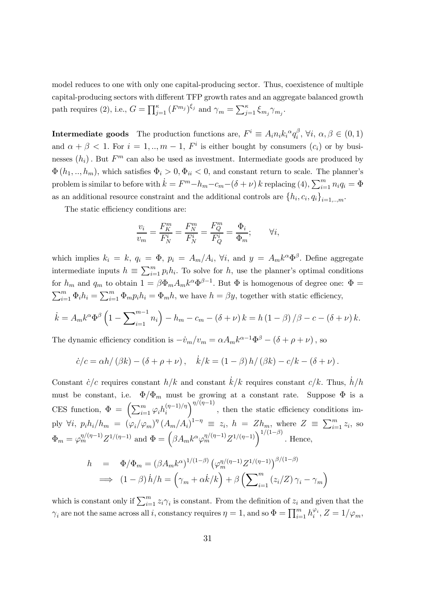model reduces to one with only one capital-producing sector. Thus, coexistence of multiple capital-producing sectors with different TFP growth rates and an aggregate balanced growth path requires (2), i.e.,  $G = \prod_{j=1}^{\kappa} (F^{m_j})^{\xi_j}$  and  $\gamma_m = \sum_{j=1}^{\kappa} \xi_{m_j} \gamma_{m_j}$ .

**Intermediate goods** The production functions are,  $F^i \equiv A_i n_i k_i^{\alpha} q_i^{\beta}, \forall i, \alpha, \beta \in (0, 1)$ and  $\alpha + \beta < 1$ . For  $i = 1, ..., m - 1$ ,  $F^i$  is either bought by consumers  $(c_i)$  or by businesses  $(h_i)$ . But  $F^m$  can also be used as investment. Intermediate goods are produced by  $\Phi(h_1,..,h_m)$ , which satisfies  $\Phi_i > 0, \Phi_{ii} < 0$ , and constant return to scale. The planner's problem is similar to before with  $\dot{k} = F^m - h_m - c_m - (\delta + \nu) k$  replacing (4),  $\sum_{i=1}^m n_i q_i = \Phi$ as an additional resource constraint and the additional controls are  $\{h_i, c_i, q_i\}_{i=1,\dots,m}$ .

The static efficiency conditions are:

$$
\frac{v_i}{v_m} = \frac{F_K^m}{F_N^i} = \frac{F_N^m}{F_N^i} = \frac{F_Q^m}{F_Q^i} = \frac{\Phi_i}{\Phi_m}; \qquad \forall i,
$$

which implies  $k_i = k$ ,  $q_i = \Phi$ ,  $p_i = A_m/A_i$ ,  $\forall i$ , and  $y = A_m k^{\alpha} \Phi^{\beta}$ . Define aggregate intermediate inputs  $h \equiv \sum_{i=1}^{m} p_i h_i$ . To solve for h, use the planner's optimal conditions for  $h_m$  and  $q_m$  to obtain  $1 = \beta \Phi_m A_m k^{\alpha} \Phi^{\beta-1}$ . But  $\Phi$  is homogenous of degree one:  $\Phi =$  $\sum_{i=1}^{m} \Phi_i h_i = \sum_{i=1}^{m} \Phi_m p_i h_i = \Phi_m h$ , we have  $h = \beta y$ , together with static efficiency,

$$
\dot{k} = A_m k^{\alpha} \Phi^{\beta} \left( 1 - \sum_{i=1}^{m-1} n_i \right) - h_m - c_m - (\delta + \nu) k = h (1 - \beta) / \beta - c - (\delta + \nu) k.
$$

The dynamic efficiency condition is  $-\dot{v}_m/v_m = \alpha A_m k^{\alpha-1} \Phi^{\beta} - (\delta + \rho + \nu)$ , so

$$
\dot{c}/c = \alpha h/(\beta k) - (\delta + \rho + \nu), \quad \dot{k}/k = (1 - \beta) h/(\beta k) - c/k - (\delta + \nu).
$$

Constant  $\dot{c}/c$  requires constant  $h/k$  and constant  $\dot{k}/k$  requires constant  $c/k$ . Thus,  $\dot{h}/h$ must be constant, i.e.  $\Phi/\Phi_m$  must be growing at a constant rate. Suppose  $\Phi$  is a CES function,  $\Phi = \left(\sum_{i=1}^m \varphi_i h_i^{(\eta-1)/\eta}\right)$  $\int^{\eta/(\eta-1)}$ , then the static efficiency conditions imply  $\forall i, p_i h_i/h_m = (\varphi_i/\varphi_m)^{\eta} (A_m/A_i)^{1-\eta} \equiv z_i, h = Zh_m$ , where  $Z \equiv \sum_{i=1}^m z_i$ , so  $\Phi_m = \varphi_m^{\eta/(\eta-1)} Z^{1/(\eta-1)}$  and  $\Phi = \left(\beta A_m k^{\alpha} \varphi_m^{\eta/(\eta-1)} Z^{1/(\eta-1)}\right)^{1/(1-\beta)}$ . Hence,

$$
h = \Phi/\Phi_m = (\beta A_m k^{\alpha})^{1/(1-\beta)} (\varphi_m^{\eta/(\eta-1)} Z^{1/(\eta-1)})^{\beta/(1-\beta)}
$$
  

$$
\implies (1-\beta) h/h = (\gamma_m + \alpha k/k) + \beta (\sum_{i=1}^m (z_i/Z) \gamma_i - \gamma_m)
$$

which is constant only if  $\sum_{i=1}^{m} z_i \gamma_i$  is constant. From the definition of  $z_i$  and given that the  $\gamma_i$  are not the same across all i, constancy requires  $\eta = 1$ , and so  $\Phi = \prod_{i=1}^m h_i^{\varphi_i}$ ,  $Z = 1/\varphi_m$ ,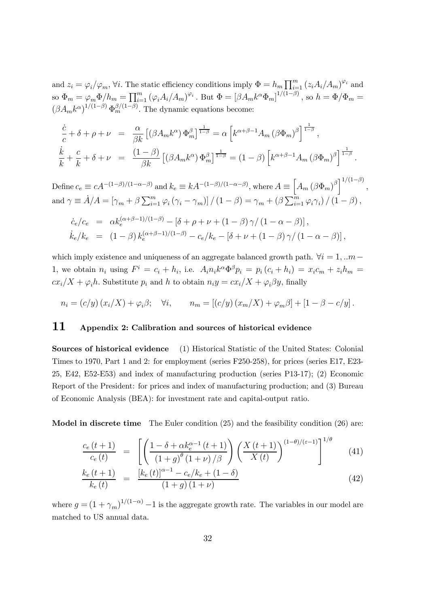and  $z_i = \varphi_i/\varphi_m$ ,  $\forall i$ . The static efficiency conditions imply  $\Phi = h_m \prod_{i=1}^m (z_i A_i/A_m)^{\varphi_i}$  and so  $\Phi_m = \varphi_m \Phi/h_m = \prod_{i=1}^m \left(\varphi_i A_i / A_m\right)^{\varphi_i}$  . But  $\Phi = \left[\beta A_m k^\alpha \Phi_m\right]^{1/(1-\beta)}$  , so  $h = \Phi/\Phi_m =$  $(\beta A_m k^{\alpha})^{1/(1-\beta)} \Phi_m^{\beta/(1-\beta)}$ . The dynamic equations become:

$$
\frac{\dot{c}}{c} + \delta + \rho + \nu = \frac{\alpha}{\beta k} \left[ (\beta A_m k^{\alpha}) \Phi_m^{\beta} \right]^{1-\beta} = \alpha \left[ k^{\alpha+\beta-1} A_m \left( \beta \Phi_m \right)^{\beta} \right]^{1-\beta},
$$
\n
$$
\frac{\dot{k}}{k} + \frac{c}{k} + \delta + \nu = \frac{(1-\beta)}{\beta k} \left[ (\beta A_m k^{\alpha}) \Phi_m^{\beta} \right]^{1-\beta} = (1-\beta) \left[ k^{\alpha+\beta-1} A_m \left( \beta \Phi_m \right)^{\beta} \right]^{1-\beta}.
$$

Define  $c_e \equiv cA^{-(1-\beta)/(1-\alpha-\beta)}$  and  $k_e \equiv kA^{-(1-\beta)/(1-\alpha-\beta)}$ , where  $A \equiv \left[A_m (\beta \Phi_m)^{\beta}\right]^{1/(1-\beta)}$ , and  $\gamma \equiv \dot{A}/A = [\gamma_m + \beta \sum_{i=1}^m \varphi_i (\gamma_i - \gamma_m)] / (1 - \beta) = \gamma_m + (\beta \sum_{i=1}^m \varphi_i \gamma_i) / (1 - \beta)$ ,

$$
\dot{c}_e/c_e = \alpha k_e^{(\alpha+\beta-1)/(1-\beta)} - [\delta + \rho + \nu + (1-\beta)\gamma/(1-\alpha-\beta)],
$$
  
\n
$$
\dot{k}_e/k_e = (1-\beta) k_e^{(\alpha+\beta-1)/(1-\beta)} - c_e/k_e - [\delta + \nu + (1-\beta)\gamma/(1-\alpha-\beta)],
$$

which imply existence and uniqueness of an aggregate balanced growth path.  $\forall i = 1, ... m$ 1, we obtain  $n_i$  using  $F^i = c_i + h_i$ , i.e.  $A_i n_i k^{\alpha} \Phi^{\beta} p_i = p_i (c_i + h_i) = x_i c_m + z_i h_m =$  $cx_i/X + \varphi_i h$ . Substitute  $p_i$  and h to obtain  $n_i y = cx_i/X + \varphi_i \beta y$ , finally

$$
n_i = (c/y) (x_i/X) + \varphi_i \beta; \quad \forall i, \qquad n_m = [(c/y) (x_m/X) + \varphi_m \beta] + [1 - \beta - c/y].
$$

#### 11 Appendix 2: Calibration and sources of historical evidence

Sources of historical evidence (1) Historical Statistic of the United States: Colonial Times to 1970, Part 1 and 2: for employment (series F250-258), for prices (series E17, E23- 25, E42, E52-E53) and index of manufacturing production (series P13-17); (2) Economic Report of the President: for prices and index of manufacturing production; and (3) Bureau of Economic Analysis (BEA): for investment rate and capital-output ratio.

Model in discrete time The Euler condition (25) and the feasibility condition (26) are:

$$
\frac{c_e(t+1)}{c_e(t)} = \left[ \left( \frac{1 - \delta + \alpha k_e^{\alpha - 1}(t+1)}{(1+g)^\theta (1+\nu)/\beta} \right) \left( \frac{X(t+1)}{X(t)} \right)^{(1-\theta)/(\varepsilon - 1)} \right]^{1/\theta} \tag{41}
$$

$$
\frac{k_e(t+1)}{k_e(t)} = \frac{\left[k_e(t)\right]^{\alpha-1} - c_e/k_e + (1-\delta)}{(1+g)(1+\nu)}\tag{42}
$$

where  $g = (1 + \gamma_m)^{1/(1-\alpha)} - 1$  is the aggregate growth rate. The variables in our model are matched to US annual data.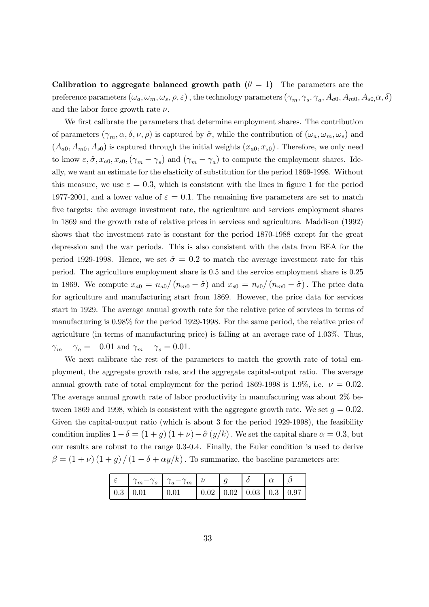Calibration to aggregate balanced growth path  $(\theta = 1)$  The parameters are the preference parameters  $(\omega_a, \omega_m, \omega_s, \rho, \varepsilon)$ , the technology parameters  $(\gamma_m, \gamma_s, \gamma_a, A_{a0}, A_{m0}, A_{s0}, \alpha, \delta)$ and the labor force growth rate  $\nu$ .

We first calibrate the parameters that determine employment shares. The contribution of parameters  $(\gamma_m, \alpha, \delta, \nu, \rho)$  is captured by  $\hat{\sigma}$ , while the contribution of  $(\omega_a, \omega_m, \omega_s)$  and  $(A_{a0}, A_{m0}, A_{s0})$  is captured through the initial weights  $(x_{a0}, x_{s0})$ . Therefore, we only need to know  $\varepsilon, \hat{\sigma}, x_{a0}, x_{s0}, (\gamma_m - \gamma_s)$  and  $(\gamma_m - \gamma_a)$  to compute the employment shares. Ideally, we want an estimate for the elasticity of substitution for the period 1869-1998. Without this measure, we use  $\varepsilon = 0.3$ , which is consistent with the lines in figure 1 for the period 1977-2001, and a lower value of  $\varepsilon = 0.1$ . The remaining five parameters are set to match five targets: the average investment rate, the agriculture and services employment shares in 1869 and the growth rate of relative prices in services and agriculture. Maddison (1992) shows that the investment rate is constant for the period 1870-1988 except for the great depression and the war periods. This is also consistent with the data from BEA for the period 1929-1998. Hence, we set  $\hat{\sigma} = 0.2$  to match the average investment rate for this period. The agriculture employment share is 0.5 and the service employment share is 0.25 in 1869. We compute  $x_{a0} = n_{a0}/(n_{m0} - \hat{\sigma})$  and  $x_{s0} = n_{s0}/(n_{m0} - \hat{\sigma})$ . The price data for agriculture and manufacturing start from 1869. However, the price data for services start in 1929. The average annual growth rate for the relative price of services in terms of manufacturing is 0.98% for the period 1929-1998. For the same period, the relative price of agriculture (in terms of manufacturing price) is falling at an average rate of 1.03%. Thus,  $\gamma_m - \gamma_a = -0.01$  and  $\gamma_m - \gamma_s = 0.01$ .

We next calibrate the rest of the parameters to match the growth rate of total employment, the aggregate growth rate, and the aggregate capital-output ratio. The average annual growth rate of total employment for the period 1869-1998 is 1.9%, i.e.  $\nu = 0.02$ . The average annual growth rate of labor productivity in manufacturing was about 2% between 1869 and 1998, which is consistent with the aggregate growth rate. We set  $q = 0.02$ . Given the capital-output ratio (which is about 3 for the period 1929-1998), the feasibility condition implies  $1-\delta = (1+g)(1+\nu)-\hat{\sigma}(y/k)$ . We set the capital share  $\alpha = 0.3$ , but our results are robust to the range 0.3-0.4. Finally, the Euler condition is used to derive  $\beta = (1 + \nu) (1 + g) / (1 - \delta + \alpha y / k)$ . To summarize, the baseline parameters are:

| Iε |                        | $\gamma_m - \gamma_s \mid \gamma_a - \gamma_m \mid \nu$ |  |  |                                                               |
|----|------------------------|---------------------------------------------------------|--|--|---------------------------------------------------------------|
|    | $\mid$ 0.3 $\mid$ 0.01 | $\pm 0.01$                                              |  |  | $\vert 0.02 \vert 0.02 \vert 0.03 \vert 0.3 \vert 0.97 \vert$ |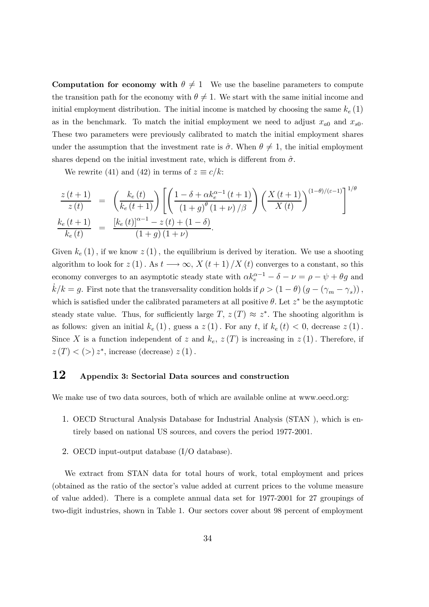Computation for economy with  $\theta \neq 1$  We use the baseline parameters to compute the transition path for the economy with  $\theta \neq 1$ . We start with the same initial income and initial employment distribution. The initial income is matched by choosing the same  $k_e(1)$ as in the benchmark. To match the initial employment we need to adjust  $x_{a0}$  and  $x_{s0}$ . These two parameters were previously calibrated to match the initial employment shares under the assumption that the investment rate is  $\hat{\sigma}$ . When  $\theta \neq 1$ , the initial employment shares depend on the initial investment rate, which is different from  $\hat{\sigma}$ .

We rewrite (41) and (42) in terms of  $z \equiv c/k$ :

$$
\frac{z(t+1)}{z(t)} = \left(\frac{k_e(t)}{k_e(t+1)}\right) \left[ \left(\frac{1-\delta + \alpha k_e^{\alpha-1}(t+1)}{(1+g)^\theta(1+\nu)/\beta}\right) \left(\frac{X(t+1)}{X(t)}\right)^{(1-\theta)/(\varepsilon-1)}\right]^{1/\theta}
$$
  
\n
$$
\frac{k_e(t+1)}{k_e(t)} = \frac{[k_e(t)]^{\alpha-1} - z(t) + (1-\delta)}{(1+g)(1+\nu)}.
$$

Given  $k_e(1)$ , if we know  $z(1)$ , the equilibrium is derived by iteration. We use a shooting algorithm to look for  $z(1)$ . As  $t \longrightarrow \infty$ ,  $X(t+1)/X(t)$  converges to a constant, so this economy converges to an asymptotic steady state with  $\alpha k_e^{\alpha-1} - \delta - \nu = \rho - \psi + \theta g$  and  $\dot{k}/k = g$ . First note that the transversality condition holds if  $\rho > (1 - \theta) (g - (\gamma_m - \gamma_s))$ , which is satisfied under the calibrated parameters at all positive  $\theta$ . Let  $z^*$  be the asymptotic steady state value. Thus, for sufficiently large  $T$ ,  $z(T) \approx z^*$ . The shooting algorithm is as follows: given an initial  $k_e(1)$ , guess a  $z(1)$ . For any t, if  $k_e(t) < 0$ , decrease  $z(1)$ . Since X is a function independent of z and  $k_e$ ,  $z(T)$  is increasing in  $z(1)$ . Therefore, if  $z(T)$  < (>)  $z^*$ , increase (decrease)  $z(1)$ .

#### 12 Appendix 3: Sectorial Data sources and construction

We make use of two data sources, both of which are available online at www.oecd.org:

- 1. OECD Structural Analysis Database for Industrial Analysis (STAN ), which is entirely based on national US sources, and covers the period 1977-2001.
- 2. OECD input-output database (I/O database).

We extract from STAN data for total hours of work, total employment and prices (obtained as the ratio of the sector's value added at current prices to the volume measure of value added). There is a complete annual data set for 1977-2001 for 27 groupings of two-digit industries, shown in Table 1. Our sectors cover about 98 percent of employment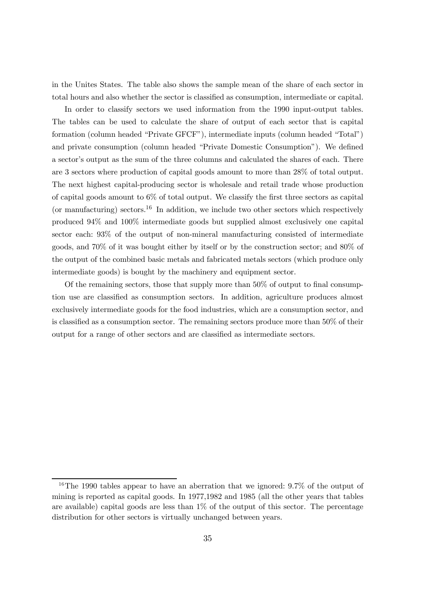in the Unites States. The table also shows the sample mean of the share of each sector in total hours and also whether the sector is classified as consumption, intermediate or capital.

In order to classify sectors we used information from the 1990 input-output tables. The tables can be used to calculate the share of output of each sector that is capital formation (column headed "Private GFCF"), intermediate inputs (column headed "Total") and private consumption (column headed "Private Domestic Consumption"). We defined a sector's output as the sum of the three columns and calculated the shares of each. There are 3 sectors where production of capital goods amount to more than 28% of total output. The next highest capital-producing sector is wholesale and retail trade whose production of capital goods amount to 6% of total output. We classify the first three sectors as capital (or manufacturing) sectors.<sup>16</sup> In addition, we include two other sectors which respectively produced 94% and 100% intermediate goods but supplied almost exclusively one capital sector each: 93% of the output of non-mineral manufacturing consisted of intermediate goods, and 70% of it was bought either by itself or by the construction sector; and 80% of the output of the combined basic metals and fabricated metals sectors (which produce only intermediate goods) is bought by the machinery and equipment sector.

Of the remaining sectors, those that supply more than 50% of output to final consumption use are classified as consumption sectors. In addition, agriculture produces almost exclusively intermediate goods for the food industries, which are a consumption sector, and is classified as a consumption sector. The remaining sectors produce more than 50% of their output for a range of other sectors and are classified as intermediate sectors.

<sup>&</sup>lt;sup>16</sup>The 1990 tables appear to have an aberration that we ignored: 9.7% of the output of mining is reported as capital goods. In 1977,1982 and 1985 (all the other years that tables are available) capital goods are less than  $1\%$  of the output of this sector. The percentage distribution for other sectors is virtually unchanged between years.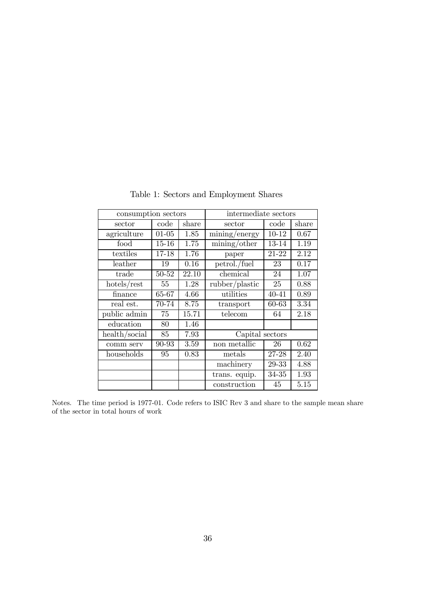| consumption sectors |           |       | intermediate sectors                    |           |       |  |
|---------------------|-----------|-------|-----------------------------------------|-----------|-------|--|
| sector              | code      | share | sector                                  | code      | share |  |
| agriculture         | $01 - 05$ | 1.85  | mining/energy                           | $10 - 12$ | 0.67  |  |
| food                | $15 - 16$ | 1.75  | $\overline{\text{mining}}/\text{other}$ | 13-14     | 1.19  |  |
| textiles            | 17-18     | 1.76  | paper                                   | 21-22     | 2.12  |  |
| leather             | 19        | 0.16  | petrol./fuel                            | 23        | 0.17  |  |
| trade               | 50-52     | 22.10 | chemical                                | 24        | 1.07  |  |
| $h$ otels/rest      | 55        | 1.28  | rubber/plastic                          | 25        | 0.88  |  |
| finance             | 65-67     | 4.66  | utilities                               | 40-41     | 0.89  |  |
| real est.           | 70-74     | 8.75  | transport                               | 60-63     | 3.34  |  |
| public admin        | 75        | 15.71 | telecom                                 | 64        | 2.18  |  |
| education           | 80        | 1.46  |                                         |           |       |  |
| health/social       | 85        | 7.93  | Capital sectors                         |           |       |  |
| comm serv           | 90-93     | 3.59  | non metallic                            | 26        | 0.62  |  |
| households          | 95        | 0.83  | metals                                  | 27-28     | 2.40  |  |
|                     |           |       | machinery                               | 29-33     | 4.88  |  |
|                     |           |       | trans. equip.                           | 34-35     | 1.93  |  |
|                     |           |       | construction                            | 45        | 5.15  |  |

Table 1: Sectors and Employment Shares

Notes. The time period is 1977-01. Code refers to ISIC Rev 3 and share to the sample mean share of the sector in total hours of work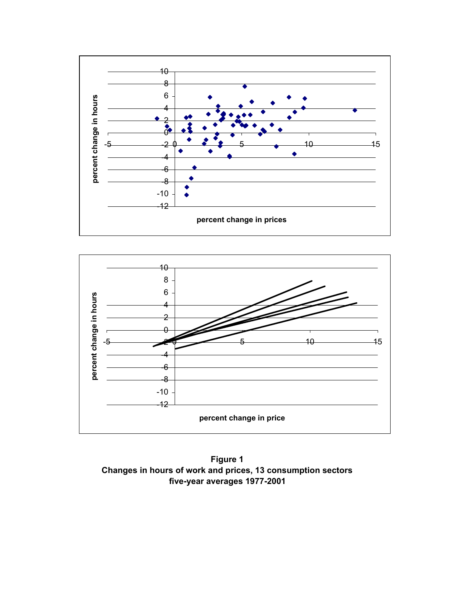



**Figure 1 Changes in hours of work and prices, 13 consumption sectors five-year averages 1977-2001**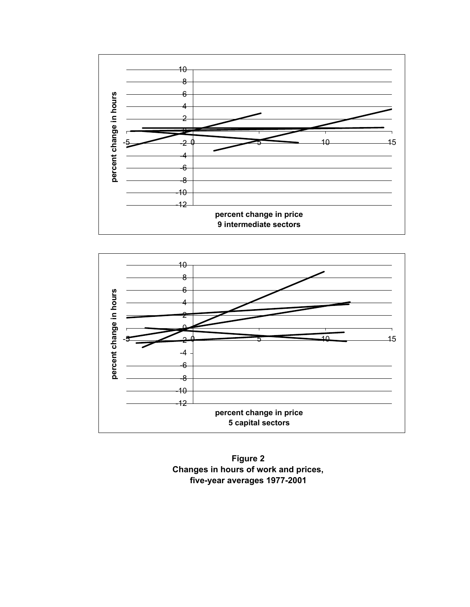



**Figure 2 Changes in hours of work and prices, five-year averages 1977-2001**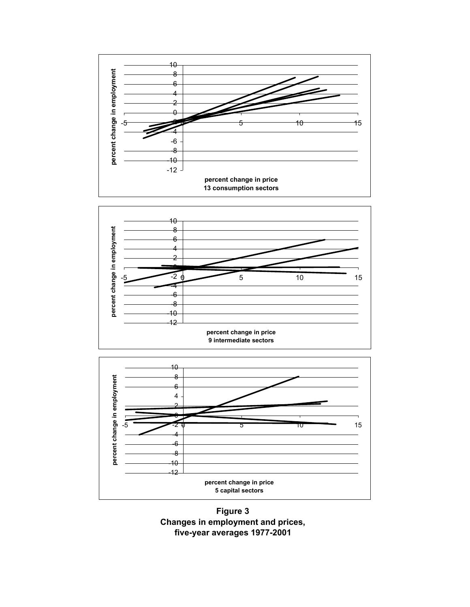





**Figure 3 Changes in employment and prices, five-year averages 1977-2001**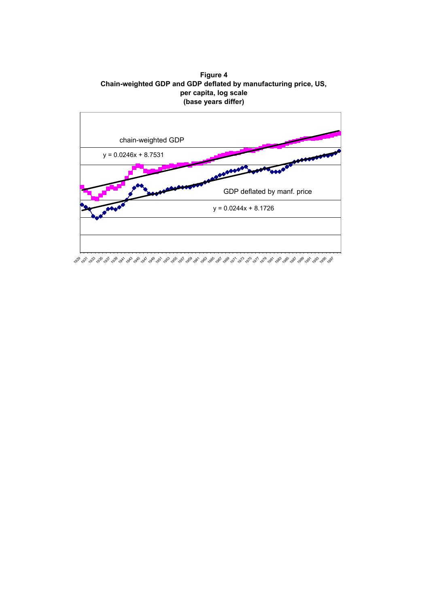**Figure 4 Chain-weighted GDP and GDP deflated by manufacturing price, US, per capita, log scale (base years differ)**

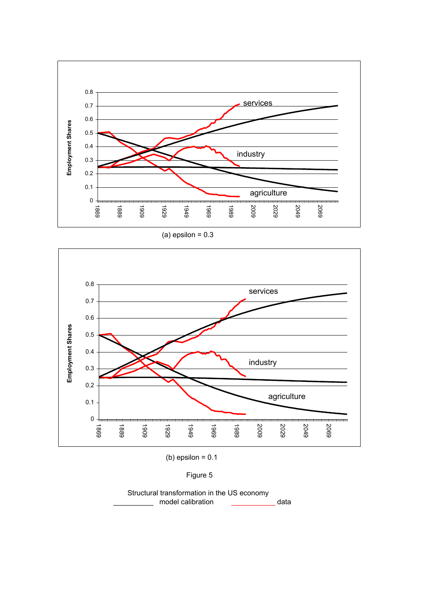

(a) epsilon  $= 0.3$ 



(b) epsilon  $= 0.1$ 

Figure 5